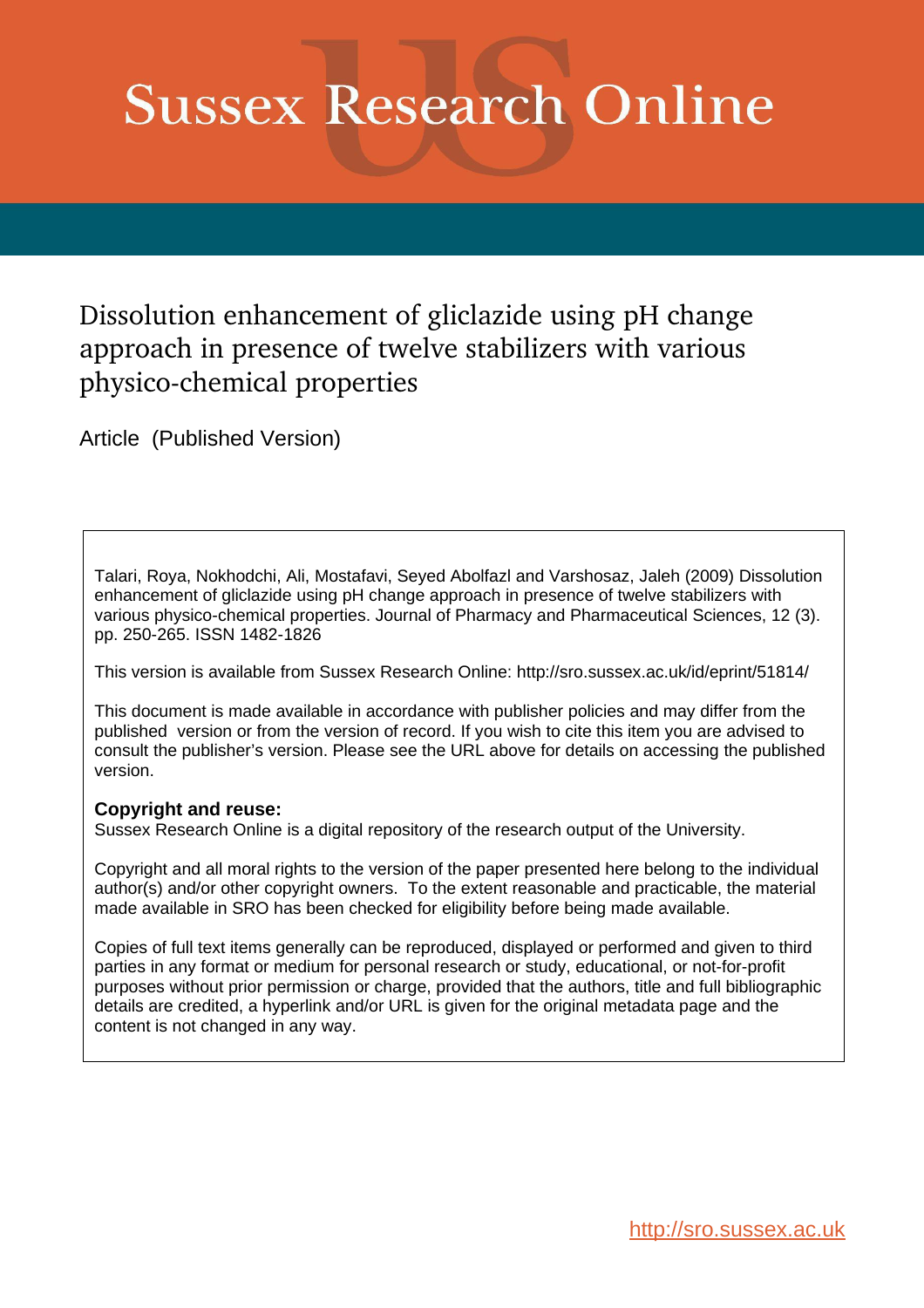# **Sussex Research Online**

# Dissolution enhancement of gliclazide using pH change approach in presence of twelve stabilizers with various physico-chemical properties

Article (Published Version)

Talari, Roya, Nokhodchi, Ali, Mostafavi, Seyed Abolfazl and Varshosaz, Jaleh (2009) Dissolution enhancement of gliclazide using pH change approach in presence of twelve stabilizers with various physico-chemical properties. Journal of Pharmacy and Pharmaceutical Sciences, 12 (3). pp. 250-265. ISSN 1482-1826

This version is available from Sussex Research Online: http://sro.sussex.ac.uk/id/eprint/51814/

This document is made available in accordance with publisher policies and may differ from the published version or from the version of record. If you wish to cite this item you are advised to consult the publisher's version. Please see the URL above for details on accessing the published version.

# **Copyright and reuse:**

Sussex Research Online is a digital repository of the research output of the University.

Copyright and all moral rights to the version of the paper presented here belong to the individual author(s) and/or other copyright owners. To the extent reasonable and practicable, the material made available in SRO has been checked for eligibility before being made available.

Copies of full text items generally can be reproduced, displayed or performed and given to third parties in any format or medium for personal research or study, educational, or not-for-profit purposes without prior permission or charge, provided that the authors, title and full bibliographic details are credited, a hyperlink and/or URL is given for the original metadata page and the content is not changed in any way.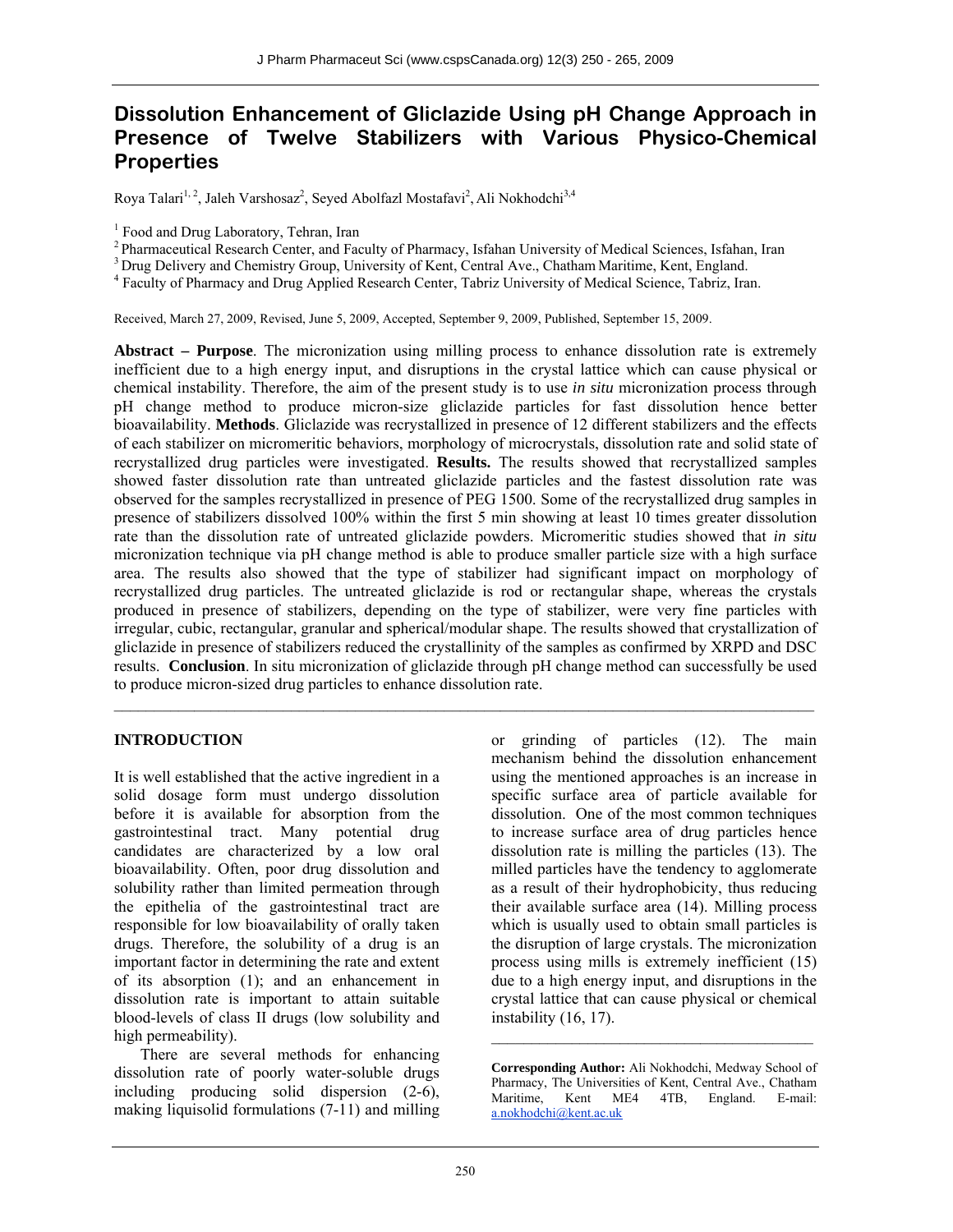# **Dissolution Enhancement of Gliclazide Using pH Change Approach in Presence of Twelve Stabilizers with Various Physico-Chemical Properties**

Roya Talari<sup>1, 2</sup>, Jaleh Varshosaz<sup>2</sup>, Seyed Abolfazl Mostafavi<sup>2</sup>, Ali Nokhodchi<sup>3,4</sup>

<sup>1</sup> Food and Drug Laboratory, Tehran, Iran

<sup>2</sup> Pharmaceutical Research Center, and Faculty of Pharmacy, Isfahan University of Medical Sciences, Isfahan, Iran  ${}^{3}$  Drug Delivery and Chemistry Group, University of Kent, Central Ave., Chatham Maritime, Kent, Englan

Faculty of Pharmacy and Drug Applied Research Center, Tabriz University of Medical Science, Tabriz, Iran.

Received, March 27, 2009, Revised, June 5, 2009, Accepted, September 9, 2009, Published, September 15, 2009.

**Abstract – Purpose**. The micronization using milling process to enhance dissolution rate is extremely inefficient due to a high energy input, and disruptions in the crystal lattice which can cause physical or chemical instability. Therefore, the aim of the present study is to use *in situ* micronization process through pH change method to produce micron-size gliclazide particles for fast dissolution hence better bioavailability. **Methods**. Gliclazide was recrystallized in presence of 12 different stabilizers and the effects of each stabilizer on micromeritic behaviors, morphology of microcrystals, dissolution rate and solid state of recrystallized drug particles were investigated. **Results.** The results showed that recrystallized samples showed faster dissolution rate than untreated gliclazide particles and the fastest dissolution rate was observed for the samples recrystallized in presence of PEG 1500. Some of the recrystallized drug samples in presence of stabilizers dissolved 100% within the first 5 min showing at least 10 times greater dissolution rate than the dissolution rate of untreated gliclazide powders. Micromeritic studies showed that *in situ* micronization technique via pH change method is able to produce smaller particle size with a high surface area. The results also showed that the type of stabilizer had significant impact on morphology of recrystallized drug particles. The untreated gliclazide is rod or rectangular shape, whereas the crystals produced in presence of stabilizers, depending on the type of stabilizer, were very fine particles with irregular, cubic, rectangular, granular and spherical/modular shape. The results showed that crystallization of gliclazide in presence of stabilizers reduced the crystallinity of the samples as confirmed by XRPD and DSC results. **Conclusion**. In situ micronization of gliclazide through pH change method can successfully be used to produce micron-sized drug particles to enhance dissolution rate.

 $\mathcal{L}_\mathcal{L} = \{ \mathcal{L}_\mathcal{L} = \{ \mathcal{L}_\mathcal{L} = \{ \mathcal{L}_\mathcal{L} = \{ \mathcal{L}_\mathcal{L} = \{ \mathcal{L}_\mathcal{L} = \{ \mathcal{L}_\mathcal{L} = \{ \mathcal{L}_\mathcal{L} = \{ \mathcal{L}_\mathcal{L} = \{ \mathcal{L}_\mathcal{L} = \{ \mathcal{L}_\mathcal{L} = \{ \mathcal{L}_\mathcal{L} = \{ \mathcal{L}_\mathcal{L} = \{ \mathcal{L}_\mathcal{L} = \{ \mathcal{L}_\mathcal{$ 

#### **INTRODUCTION**

It is well established that the active ingredient in a solid dosage form must undergo dissolution before it is available for absorption from the gastrointestinal tract. Many potential drug candidates are characterized by a low oral bioavailability. Often, poor drug dissolution and solubility rather than limited permeation through the epithelia of the gastrointestinal tract are responsible for low bioavailability of orally taken drugs. Therefore, the solubility of a drug is an important factor in determining the rate and extent of its absorption (1); and an enhancement in dissolution rate is important to attain suitable blood-levels of class II drugs (low solubility and high permeability).

There are several methods for enhancing dissolution rate of poorly water-soluble drugs including producing solid dispersion (2-6), making liquisolid formulations (7-11) and milling or grinding of particles (12). The main mechanism behind the dissolution enhancement using the mentioned approaches is an increase in specific surface area of particle available for dissolution. One of the most common techniques to increase surface area of drug particles hence dissolution rate is milling the particles (13). The milled particles have the tendency to agglomerate as a result of their hydrophobicity, thus reducing their available surface area (14). Milling process which is usually used to obtain small particles is the disruption of large crystals. The micronization process using mills is extremely inefficient (15) due to a high energy input, and disruptions in the crystal lattice that can cause physical or chemical instability (16, 17).

**Corresponding Author:** Ali Nokhodchi, Medway School of Pharmacy, The Universities of Kent, Central Ave., Chatham Maritime, Kent ME4 4TB, England. E-mail: a.nokhodchi@kent.ac.uk

 $\mathcal{L}_\text{max}$  and  $\mathcal{L}_\text{max}$  and  $\mathcal{L}_\text{max}$  and  $\mathcal{L}_\text{max}$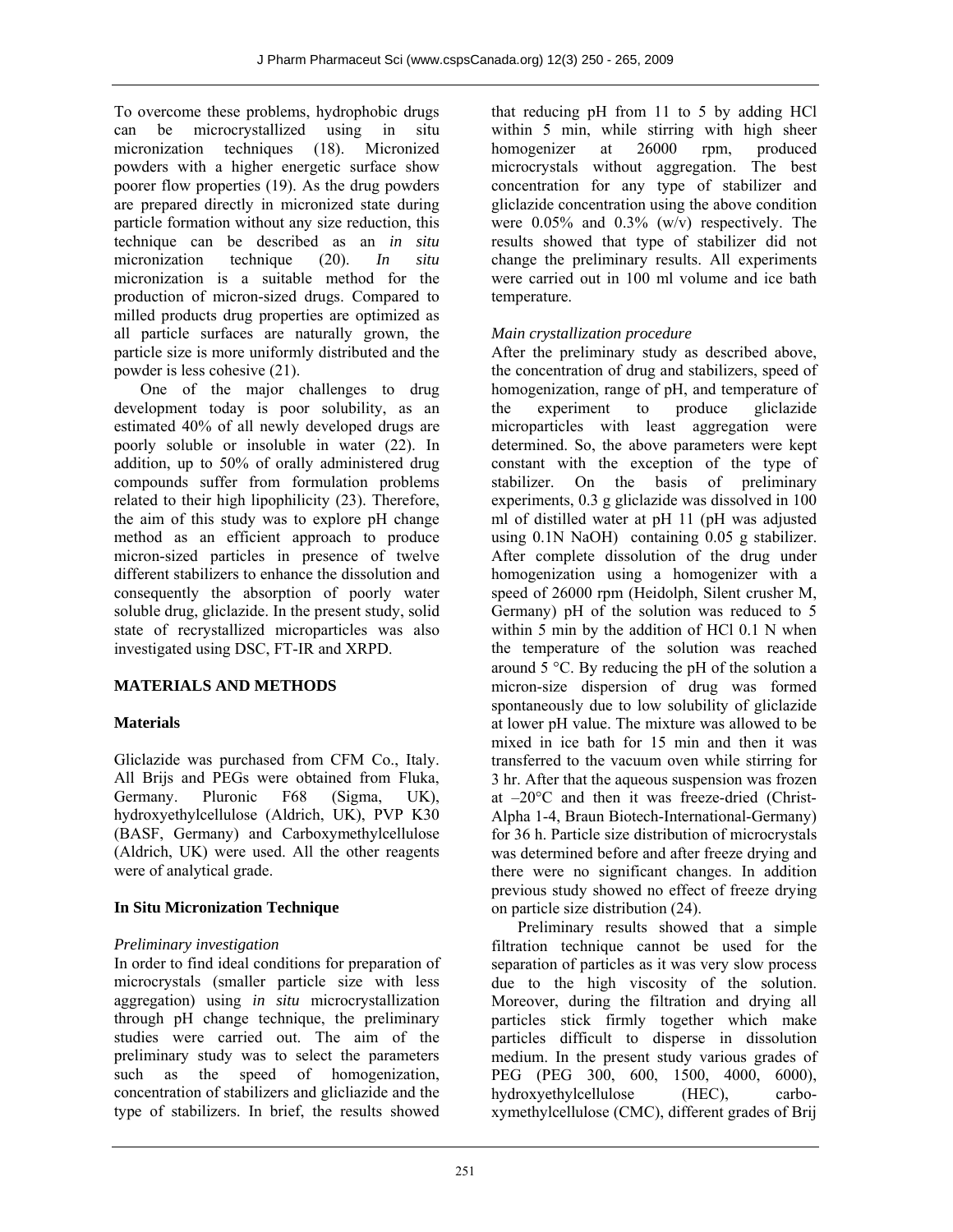To overcome these problems, hydrophobic drugs can be microcrystallized using in situ micronization techniques (18). Micronized powders with a higher energetic surface show poorer flow properties (19). As the drug powders are prepared directly in micronized state during particle formation without any size reduction, this technique can be described as an *in situ* micronization technique (20). *In situ* micronization is a suitable method for the production of micron-sized drugs. Compared to milled products drug properties are optimized as all particle surfaces are naturally grown, the particle size is more uniformly distributed and the powder is less cohesive (21).

One of the major challenges to drug development today is poor solubility, as an estimated 40% of all newly developed drugs are poorly soluble or insoluble in water (22). In addition, up to 50% of orally administered drug compounds suffer from formulation problems related to their high lipophilicity (23). Therefore, the aim of this study was to explore pH change method as an efficient approach to produce micron-sized particles in presence of twelve different stabilizers to enhance the dissolution and consequently the absorption of poorly water soluble drug, gliclazide. In the present study, solid state of recrystallized microparticles was also investigated using DSC, FT-IR and XRPD.

## **MATERIALS AND METHODS**

#### **Materials**

Gliclazide was purchased from CFM Co., Italy. All Brijs and PEGs were obtained from Fluka, Germany. Pluronic F68 (Sigma, UK), hydroxyethylcellulose (Aldrich, UK), PVP K30 (BASF, Germany) and Carboxymethylcellulose (Aldrich, UK) were used. All the other reagents were of analytical grade.

#### **In Situ Micronization Technique**

#### *Preliminary investigation*

In order to find ideal conditions for preparation of microcrystals (smaller particle size with less aggregation) using *in situ* microcrystallization through pH change technique, the preliminary studies were carried out. The aim of the preliminary study was to select the parameters such as the speed of homogenization, concentration of stabilizers and glicliazide and the type of stabilizers. In brief, the results showed that reducing pH from 11 to 5 by adding HCl within 5 min, while stirring with high sheer homogenizer at 26000 rpm, produced microcrystals without aggregation. The best concentration for any type of stabilizer and gliclazide concentration using the above condition were  $0.05\%$  and  $0.3\%$  (w/v) respectively. The results showed that type of stabilizer did not change the preliminary results. All experiments were carried out in 100 ml volume and ice bath temperature.

#### *Main crystallization procedure*

After the preliminary study as described above, the concentration of drug and stabilizers, speed of homogenization, range of pH, and temperature of the experiment to produce gliclazide microparticles with least aggregation were determined. So, the above parameters were kept constant with the exception of the type of stabilizer. On the basis of preliminary experiments, 0.3 g gliclazide was dissolved in 100 ml of distilled water at pH 11 (pH was adjusted using 0.1N NaOH) containing 0.05 g stabilizer. After complete dissolution of the drug under homogenization using a homogenizer with a speed of 26000 rpm (Heidolph, Silent crusher M, Germany) pH of the solution was reduced to 5 within 5 min by the addition of HCl 0.1 N when the temperature of the solution was reached around  $5^{\circ}$ C. By reducing the pH of the solution a micron-size dispersion of drug was formed spontaneously due to low solubility of gliclazide at lower pH value. The mixture was allowed to be mixed in ice bath for 15 min and then it was transferred to the vacuum oven while stirring for 3 hr. After that the aqueous suspension was frozen at –20°C and then it was freeze-dried (Christ-Alpha 1-4, Braun Biotech-International-Germany) for 36 h. Particle size distribution of microcrystals was determined before and after freeze drying and there were no significant changes. In addition previous study showed no effect of freeze drying on particle size distribution (24).

Preliminary results showed that a simple filtration technique cannot be used for the separation of particles as it was very slow process due to the high viscosity of the solution. Moreover, during the filtration and drying all particles stick firmly together which make particles difficult to disperse in dissolution medium. In the present study various grades of PEG (PEG 300, 600, 1500, 4000, 6000), hydroxyethylcellulose (HEC), carboxymethylcellulose (CMC), different grades of Brij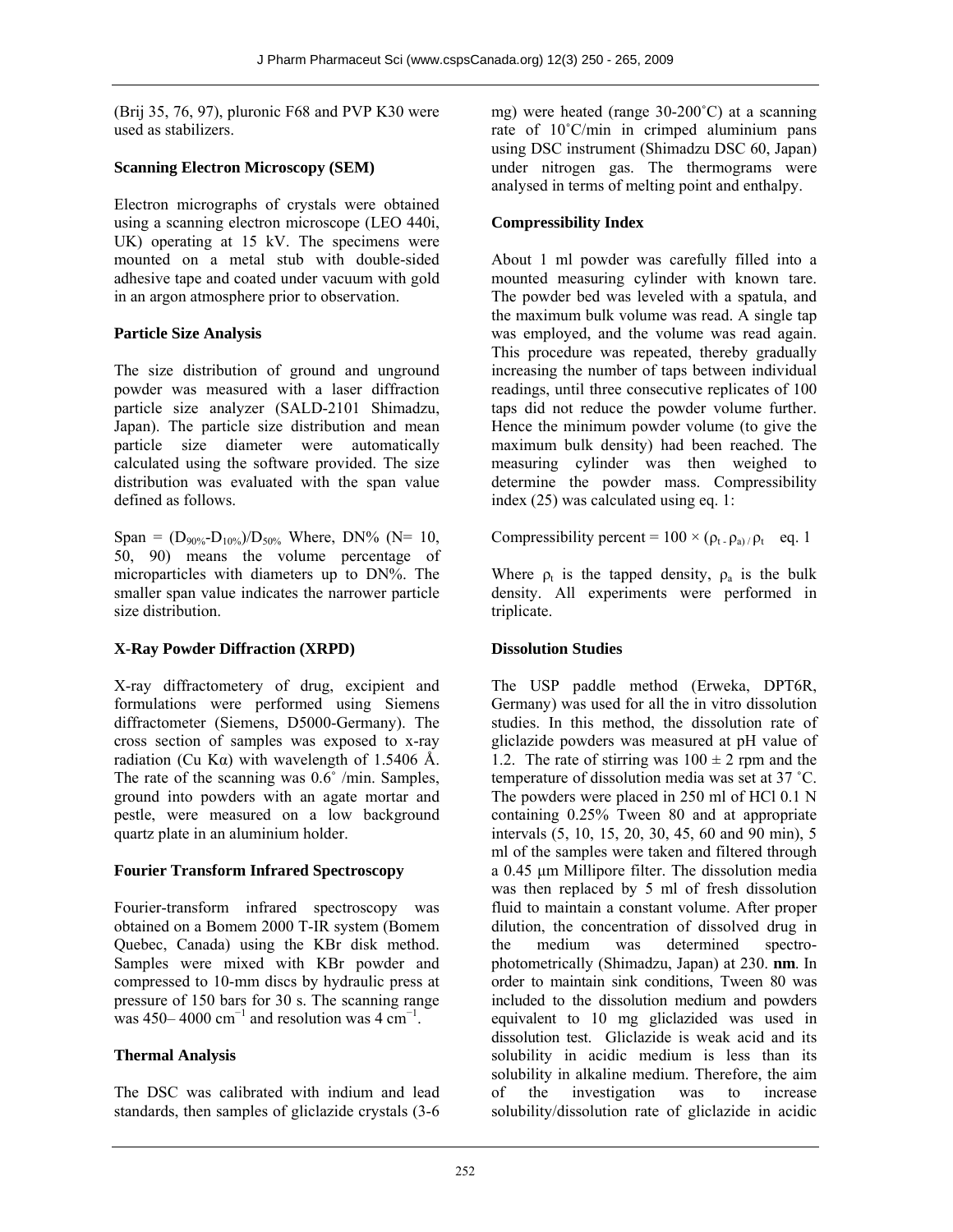(Brij 35, 76, 97), pluronic F68 and PVP K30 were used as stabilizers.

## **Scanning Electron Microscopy (SEM)**

Electron micrographs of crystals were obtained using a scanning electron microscope (LEO 440i, UK) operating at 15 kV. The specimens were mounted on a metal stub with double-sided adhesive tape and coated under vacuum with gold in an argon atmosphere prior to observation.

# **Particle Size Analysis**

The size distribution of ground and unground powder was measured with a laser diffraction particle size analyzer (SALD-2101 Shimadzu, Japan). The particle size distribution and mean particle size diameter were automatically calculated using the software provided. The size distribution was evaluated with the span value defined as follows.

Span =  $(D_{90\%} - D_{10\%})/D_{50\%}$  Where, DN% (N= 10, 50, 90) means the volume percentage of microparticles with diameters up to DN%. The smaller span value indicates the narrower particle size distribution.

# **X-Ray Powder Diffraction (XRPD)**

X-ray diffractometery of drug, excipient and formulations were performed using Siemens diffractometer (Siemens, D5000-Germany). The cross section of samples was exposed to x-ray radiation (Cu Kα) with wavelength of 1.5406 Å. The rate of the scanning was  $0.6^\circ$  /min. Samples, ground into powders with an agate mortar and pestle, were measured on a low background quartz plate in an aluminium holder.

# **Fourier Transform Infrared Spectroscopy**

Fourier-transform infrared spectroscopy was obtained on a Bomem 2000 T-IR system (Bomem Quebec, Canada) using the KBr disk method. Samples were mixed with KBr powder and compressed to 10-mm discs by hydraulic press at pressure of 150 bars for 30 s. The scanning range was 450– 4000 cm<sup>-1</sup> and resolution was 4 cm<sup>-1</sup>.

# **Thermal Analysis**

The DSC was calibrated with indium and lead standards, then samples of gliclazide crystals (3-6 mg) were heated (range 30-200˚C) at a scanning rate of 10˚C/min in crimped aluminium pans using DSC instrument (Shimadzu DSC 60, Japan) under nitrogen gas. The thermograms were analysed in terms of melting point and enthalpy.

# **Compressibility Index**

About 1 ml powder was carefully filled into a mounted measuring cylinder with known tare. The powder bed was leveled with a spatula, and the maximum bulk volume was read. A single tap was employed, and the volume was read again. This procedure was repeated, thereby gradually increasing the number of taps between individual readings, until three consecutive replicates of 100 taps did not reduce the powder volume further. Hence the minimum powder volume (to give the maximum bulk density) had been reached. The measuring cylinder was then weighed to determine the powder mass. Compressibility index (25) was calculated using eq. 1:

Compressibility percent =  $100 \times (\rho_t \cdot \rho_a)/\rho_t$  eq. 1

Where  $\rho_t$  is the tapped density,  $\rho_a$  is the bulk density. All experiments were performed in triplicate.

# **Dissolution Studies**

The USP paddle method (Erweka, DPT6R, Germany) was used for all the in vitro dissolution studies. In this method, the dissolution rate of gliclazide powders was measured at pH value of 1.2. The rate of stirring was  $100 \pm 2$  rpm and the temperature of dissolution media was set at 37 ˚C. The powders were placed in 250 ml of HCl 0.1 N containing 0.25% Tween 80 and at appropriate intervals (5, 10, 15, 20, 30, 45, 60 and 90 min), 5 ml of the samples were taken and filtered through a 0.45 μm Millipore filter. The dissolution media was then replaced by 5 ml of fresh dissolution fluid to maintain a constant volume. After proper dilution, the concentration of dissolved drug in the medium was determined spectrophotometrically (Shimadzu, Japan) at 230. **nm**. In order to maintain sink conditions, Tween 80 was included to the dissolution medium and powders equivalent to 10 mg gliclazided was used in dissolution test. Gliclazide is weak acid and its solubility in acidic medium is less than its solubility in alkaline medium. Therefore, the aim of the investigation was to increase solubility/dissolution rate of gliclazide in acidic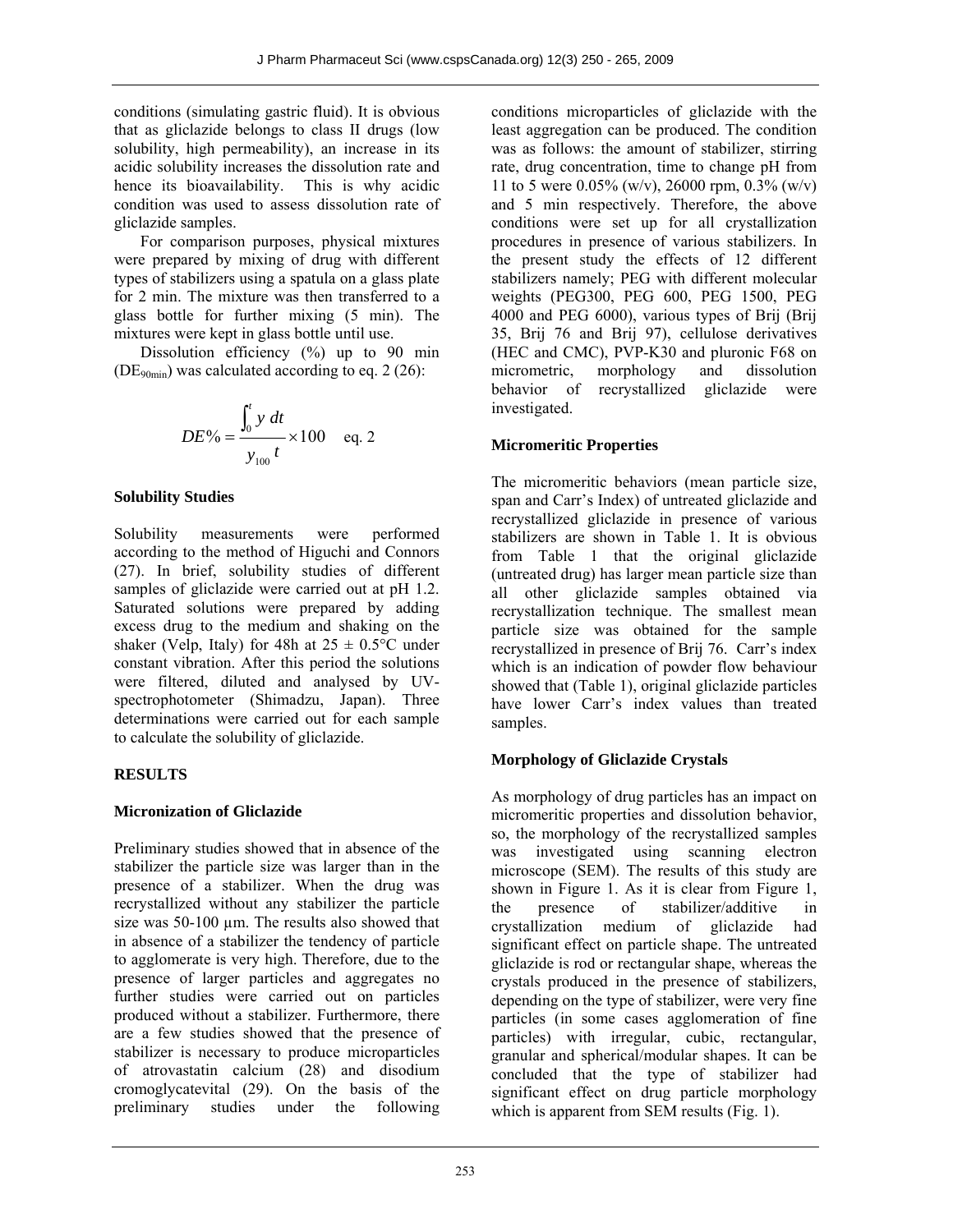conditions (simulating gastric fluid). It is obvious that as gliclazide belongs to class II drugs (low solubility, high permeability), an increase in its acidic solubility increases the dissolution rate and hence its bioavailability. This is why acidic condition was used to assess dissolution rate of gliclazide samples.

For comparison purposes, physical mixtures were prepared by mixing of drug with different types of stabilizers using a spatula on a glass plate for 2 min. The mixture was then transferred to a glass bottle for further mixing (5 min). The mixtures were kept in glass bottle until use.

Dissolution efficiency (%) up to 90 min (DE<sub>90min</sub>) was calculated according to eq. 2 (26):

$$
DE\% = \frac{\int_0^t y \, dt}{y_{100} t} \times 100 \quad \text{eq. 2}
$$

#### **Solubility Studies**

Solubility measurements were performed according to the method of Higuchi and Connors (27). In brief, solubility studies of different samples of gliclazide were carried out at pH 1.2. Saturated solutions were prepared by adding excess drug to the medium and shaking on the shaker (Velp, Italy) for 48h at  $25 \pm 0.5^{\circ}$ C under constant vibration. After this period the solutions were filtered, diluted and analysed by UVspectrophotometer (Shimadzu, Japan). Three determinations were carried out for each sample to calculate the solubility of gliclazide.

#### **RESULTS**

#### **Micronization of Gliclazide**

Preliminary studies showed that in absence of the stabilizer the particle size was larger than in the presence of a stabilizer. When the drug was recrystallized without any stabilizer the particle size was 50-100 µm. The results also showed that in absence of a stabilizer the tendency of particle to agglomerate is very high. Therefore, due to the presence of larger particles and aggregates no further studies were carried out on particles produced without a stabilizer. Furthermore, there are a few studies showed that the presence of stabilizer is necessary to produce microparticles of atrovastatin calcium (28) and disodium cromoglycatevital (29). On the basis of the preliminary studies under the following conditions microparticles of gliclazide with the least aggregation can be produced. The condition was as follows: the amount of stabilizer, stirring rate, drug concentration, time to change pH from 11 to 5 were 0.05% (w/v), 26000 rpm, 0.3% (w/v) and 5 min respectively. Therefore, the above conditions were set up for all crystallization procedures in presence of various stabilizers. In the present study the effects of 12 different stabilizers namely; PEG with different molecular weights (PEG300, PEG 600, PEG 1500, PEG 4000 and PEG 6000), various types of Brij (Brij 35, Brij 76 and Brij 97), cellulose derivatives (HEC and CMC), PVP-K30 and pluronic F68 on micrometric, morphology and dissolution behavior of recrystallized gliclazide were investigated.

#### **Micromeritic Properties**

The micromeritic behaviors (mean particle size, span and Carr's Index) of untreated gliclazide and recrystallized gliclazide in presence of various stabilizers are shown in Table 1. It is obvious from Table 1 that the original gliclazide (untreated drug) has larger mean particle size than all other gliclazide samples obtained via recrystallization technique. The smallest mean particle size was obtained for the sample recrystallized in presence of Brij 76. Carr's index which is an indication of powder flow behaviour showed that (Table 1), original gliclazide particles have lower Carr's index values than treated samples.

#### **Morphology of Gliclazide Crystals**

As morphology of drug particles has an impact on micromeritic properties and dissolution behavior, so, the morphology of the recrystallized samples was investigated using scanning electron microscope (SEM). The results of this study are shown in Figure 1. As it is clear from Figure 1, the presence of stabilizer/additive in crystallization medium of gliclazide had significant effect on particle shape. The untreated gliclazide is rod or rectangular shape, whereas the crystals produced in the presence of stabilizers, depending on the type of stabilizer, were very fine particles (in some cases agglomeration of fine particles) with irregular, cubic, rectangular, granular and spherical/modular shapes. It can be concluded that the type of stabilizer had significant effect on drug particle morphology which is apparent from SEM results (Fig. 1).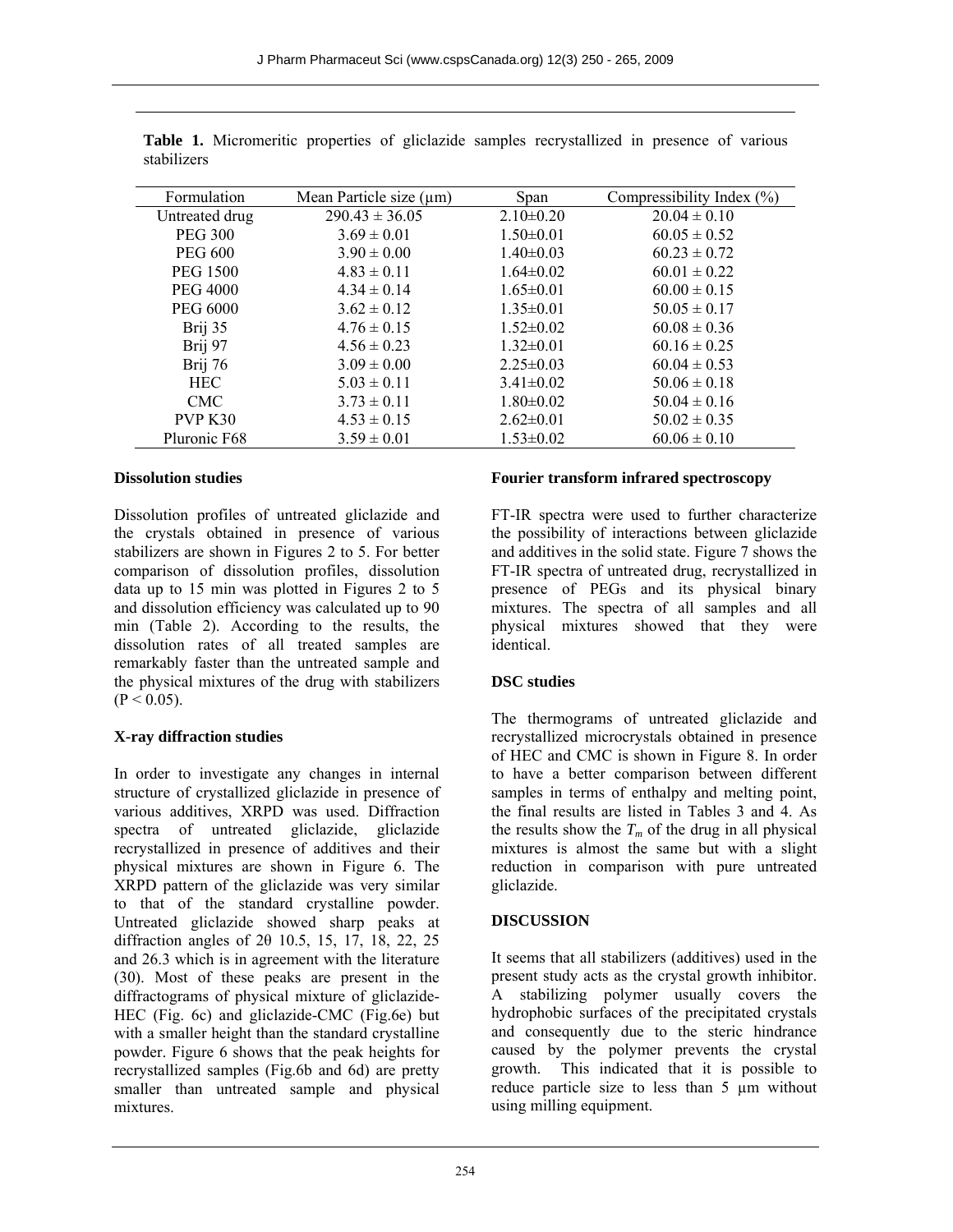| Formulation     | Mean Particle size $(\mu m)$ | Span            | Compressibility Index $(\% )$ |
|-----------------|------------------------------|-----------------|-------------------------------|
| Untreated drug  | $290.43 \pm 36.05$           | $2.10\pm0.20$   | $20.04 \pm 0.10$              |
| <b>PEG 300</b>  | $3.69 \pm 0.01$              | $1.50 \pm 0.01$ | $60.05 \pm 0.52$              |
| <b>PEG 600</b>  | $3.90 \pm 0.00$              | $1.40 \pm 0.03$ | $60.23 \pm 0.72$              |
| <b>PEG 1500</b> | $4.83 \pm 0.11$              | $1.64 \pm 0.02$ | $60.01 \pm 0.22$              |
| <b>PEG 4000</b> | $4.34 \pm 0.14$              | $1.65 \pm 0.01$ | $60.00 \pm 0.15$              |
| <b>PEG 6000</b> | $3.62 \pm 0.12$              | $1.35 \pm 0.01$ | $50.05 \pm 0.17$              |
| Brij 35         | $4.76 \pm 0.15$              | $1.52 \pm 0.02$ | $60.08 \pm 0.36$              |
| Brij 97         | $4.56 \pm 0.23$              | $1.32 \pm 0.01$ | $60.16 \pm 0.25$              |
| Brij 76         | $3.09 \pm 0.00$              | $2.25 \pm 0.03$ | $60.04 \pm 0.53$              |
| <b>HEC</b>      | $5.03 \pm 0.11$              | $3.41 \pm 0.02$ | $50.06 \pm 0.18$              |
| <b>CMC</b>      | $3.73 \pm 0.11$              | $1.80 \pm 0.02$ | $50.04 \pm 0.16$              |
| PVP K30         | $4.53 \pm 0.15$              | $2.62 \pm 0.01$ | $50.02 \pm 0.35$              |
| Pluronic F68    | $3.59 \pm 0.01$              | $1.53 \pm 0.02$ | $60.06 \pm 0.10$              |

**Table 1.** Micromeritic properties of gliclazide samples recrystallized in presence of various stabilizers

#### **Dissolution studies**

Dissolution profiles of untreated gliclazide and the crystals obtained in presence of various stabilizers are shown in Figures 2 to 5. For better comparison of dissolution profiles, dissolution data up to 15 min was plotted in Figures 2 to 5 and dissolution efficiency was calculated up to 90 min (Table 2). According to the results, the dissolution rates of all treated samples are remarkably faster than the untreated sample and the physical mixtures of the drug with stabilizers  $(P < 0.05)$ .

#### **X-ray diffraction studies**

In order to investigate any changes in internal structure of crystallized gliclazide in presence of various additives, XRPD was used. Diffraction spectra of untreated gliclazide, gliclazide recrystallized in presence of additives and their physical mixtures are shown in Figure 6. The XRPD pattern of the gliclazide was very similar to that of the standard crystalline powder. Untreated gliclazide showed sharp peaks at diffraction angles of 2θ 10.5, 15, 17, 18, 22, 25 and 26.3 which is in agreement with the literature (30). Most of these peaks are present in the diffractograms of physical mixture of gliclazide-HEC (Fig. 6c) and gliclazide-CMC (Fig.6e) but with a smaller height than the standard crystalline powder. Figure 6 shows that the peak heights for recrystallized samples (Fig.6b and 6d) are pretty smaller than untreated sample and physical mixtures.

#### **Fourier transform infrared spectroscopy**

FT-IR spectra were used to further characterize the possibility of interactions between gliclazide and additives in the solid state. Figure 7 shows the FT-IR spectra of untreated drug, recrystallized in presence of PEGs and its physical binary mixtures. The spectra of all samples and all physical mixtures showed that they were identical.

#### **DSC studies**

The thermograms of untreated gliclazide and recrystallized microcrystals obtained in presence of HEC and CMC is shown in Figure 8. In order to have a better comparison between different samples in terms of enthalpy and melting point, the final results are listed in Tables 3 and 4. As the results show the  $T_m$  of the drug in all physical mixtures is almost the same but with a slight reduction in comparison with pure untreated gliclazide.

#### **DISCUSSION**

It seems that all stabilizers (additives) used in the present study acts as the crystal growth inhibitor. A stabilizing polymer usually covers the hydrophobic surfaces of the precipitated crystals and consequently due to the steric hindrance caused by the polymer prevents the crystal growth. This indicated that it is possible to reduce particle size to less than 5 µm without using milling equipment.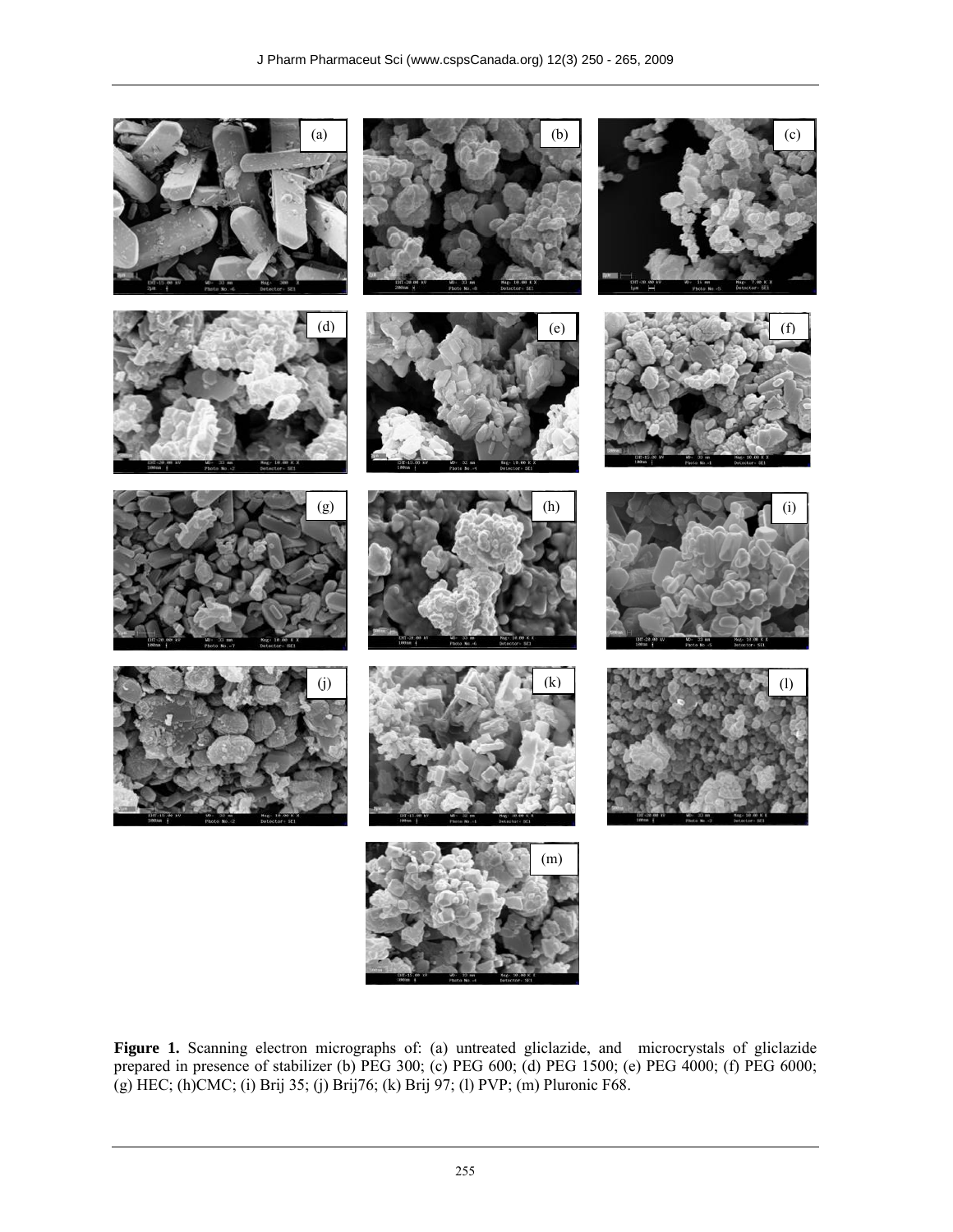

**Figure 1.** Scanning electron micrographs of: (a) untreated gliclazide, and microcrystals of gliclazide prepared in presence of stabilizer (b) PEG 300; (c) PEG 600; (d) PEG 1500; (e) PEG 4000; (f) PEG 6000; (g) HEC; (h)CMC; (i) Brij 35; (j) Brij76; (k) Brij 97; (l) PVP; (m) Pluronic F68.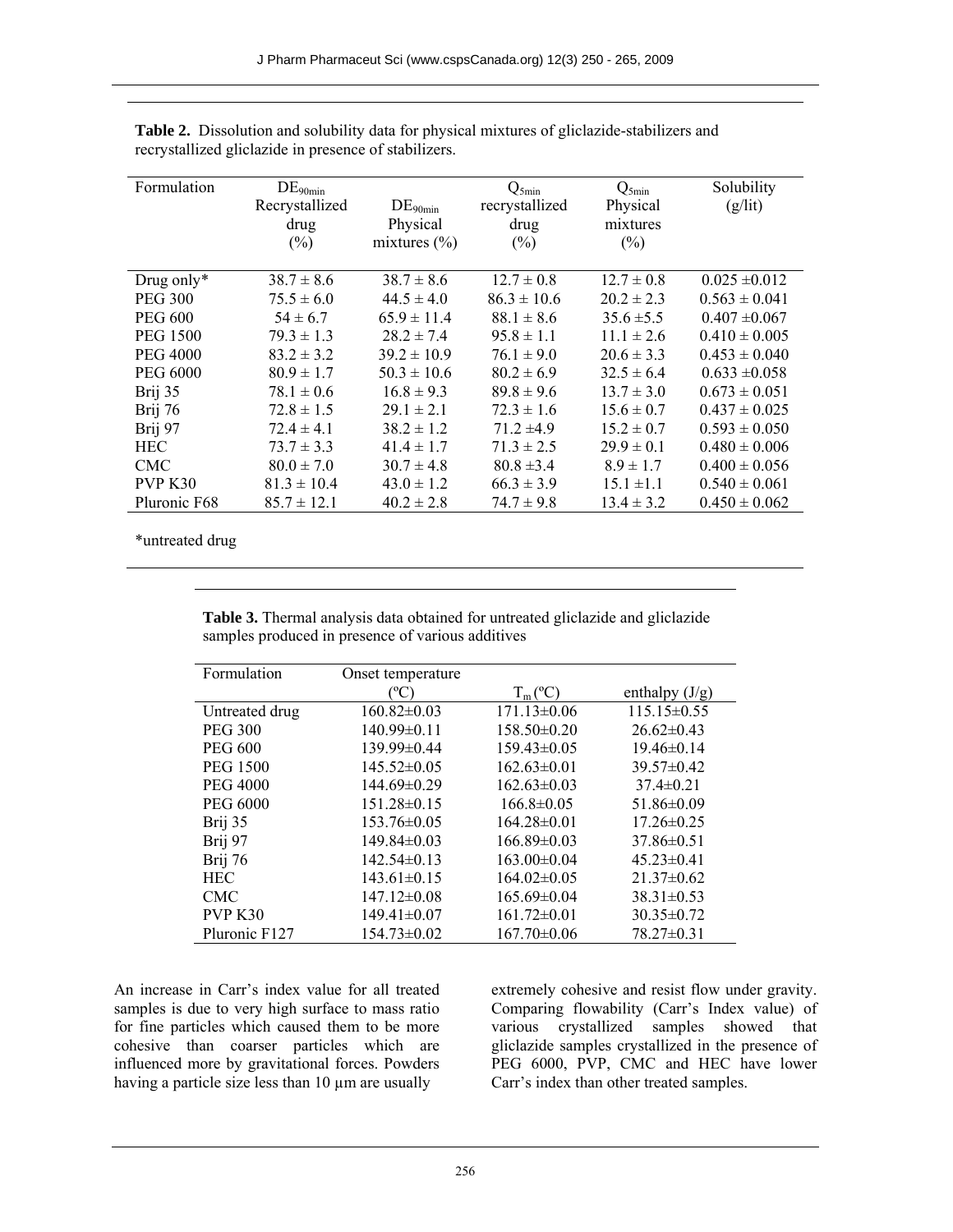| Formulation     | $DE_{90min}$<br>Recrystallized<br>drug<br>$(\%)$ | $DE_{90min}$<br>Physical<br>mixtures $(\% )$ | $Q_{5min}$<br>recrystallized<br>drug<br>$(\%)$ | $Q_{5min}$<br>Physical<br>mixtures<br>$(\% )$ | Solubility<br>(g/lit) |
|-----------------|--------------------------------------------------|----------------------------------------------|------------------------------------------------|-----------------------------------------------|-----------------------|
|                 |                                                  |                                              |                                                |                                               |                       |
| Drug only $*$   | $38.7 \pm 8.6$                                   | $38.7 \pm 8.6$                               | $12.7 \pm 0.8$                                 | $12.7 \pm 0.8$                                | $0.025 \pm 0.012$     |
| <b>PEG 300</b>  | $75.5 \pm 6.0$                                   | $44.5 \pm 4.0$                               | $86.3 \pm 10.6$                                | $20.2 \pm 2.3$                                | $0.563 \pm 0.041$     |
| <b>PEG 600</b>  | $54 \pm 6.7$                                     | $65.9 \pm 11.4$                              | $88.1 \pm 8.6$                                 | $35.6 \pm 5.5$                                | $0.407 \pm 0.067$     |
| <b>PEG 1500</b> | $79.3 \pm 1.3$                                   | $28.2 \pm 7.4$                               | $95.8 \pm 1.1$                                 | $11.1 \pm 2.6$                                | $0.410 \pm 0.005$     |
| <b>PEG 4000</b> | $83.2 \pm 3.2$                                   | $39.2 \pm 10.9$                              | $76.1 \pm 9.0$                                 | $20.6 \pm 3.3$                                | $0.453 \pm 0.040$     |
| <b>PEG 6000</b> | $80.9 \pm 1.7$                                   | $50.3 \pm 10.6$                              | $80.2 \pm 6.9$                                 | $32.5 \pm 6.4$                                | $0.633 \pm 0.058$     |
| Brij 35         | $78.1 \pm 0.6$                                   | $16.8 \pm 9.3$                               | $89.8 \pm 9.6$                                 | $13.7 \pm 3.0$                                | $0.673 \pm 0.051$     |
| Brij 76         | $72.8 \pm 1.5$                                   | $29.1 \pm 2.1$                               | $72.3 \pm 1.6$                                 | $15.6 \pm 0.7$                                | $0.437 \pm 0.025$     |
| Brij 97         | $72.4 \pm 4.1$                                   | $38.2 \pm 1.2$                               | $71.2 \pm 4.9$                                 | $15.2 \pm 0.7$                                | $0.593 \pm 0.050$     |
| <b>HEC</b>      | $73.7 \pm 3.3$                                   | $41.4 \pm 1.7$                               | $71.3 \pm 2.5$                                 | $29.9 \pm 0.1$                                | $0.480 \pm 0.006$     |
| <b>CMC</b>      | $80.0 \pm 7.0$                                   | $30.7 \pm 4.8$                               | $80.8 \pm 3.4$                                 | $8.9 \pm 1.7$                                 | $0.400 \pm 0.056$     |
| PVP K30         | $81.3 \pm 10.4$                                  | $43.0 \pm 1.2$                               | $66.3 \pm 3.9$                                 | $15.1 \pm 1.1$                                | $0.540 \pm 0.061$     |
| Pluronic F68    | $85.7 \pm 12.1$                                  | $40.2 \pm 2.8$                               | $74.7 \pm 9.8$                                 | $13.4 \pm 3.2$                                | $0.450 \pm 0.062$     |

**Table 2.** Dissolution and solubility data for physical mixtures of gliclazide-stabilizers and recrystallized gliclazide in presence of stabilizers.

\*untreated drug

**Table 3.** Thermal analysis data obtained for untreated gliclazide and gliclazide samples produced in presence of various additives

| Formulation     | Onset temperature |                       |                   |
|-----------------|-------------------|-----------------------|-------------------|
|                 | (°C)              | $T_m$ <sup>(°C)</sup> | enthalpy $(J/g)$  |
| Untreated drug  | $160.82 \pm 0.03$ | $171.13 \pm 0.06$     | $115.15 \pm 0.55$ |
| <b>PEG 300</b>  | $140.99 \pm 0.11$ | $158.50 \pm 0.20$     | $26.62 \pm 0.43$  |
| <b>PEG 600</b>  | 139.99±0.44       | $159.43\pm0.05$       | $19.46\pm0.14$    |
| <b>PEG 1500</b> | $145.52 \pm 0.05$ | $162.63\pm0.01$       | $39.57\pm0.42$    |
| <b>PEG 4000</b> | $144.69\pm0.29$   | $162.63\pm0.03$       | $37.4 \pm 0.21$   |
| <b>PEG 6000</b> | $151.28 \pm 0.15$ | $166.8\pm0.05$        | $51.86 \pm 0.09$  |
| Brij 35         | $153.76 \pm 0.05$ | $164.28\pm0.01$       | $17.26 \pm 0.25$  |
| Brij 97         | $149.84\pm0.03$   | $166.89\pm0.03$       | $37.86 \pm 0.51$  |
| Brij 76         | $142.54\pm0.13$   | $163.00\pm0.04$       | $45.23 \pm 0.41$  |
| <b>HEC</b>      | $143.61 \pm 0.15$ | $164.02\pm0.05$       | $21.37\pm0.62$    |
| <b>CMC</b>      | $147.12 \pm 0.08$ | $165.69 \pm 0.04$     | $38.31 \pm 0.53$  |
| PVP K30         | $149.41 \pm 0.07$ | $161.72 \pm 0.01$     | $30.35 \pm 0.72$  |
| Pluronic F127   | $154.73 \pm 0.02$ | $167.70 \pm 0.06$     | $78.27\pm0.31$    |

An increase in Carr's index value for all treated samples is due to very high surface to mass ratio for fine particles which caused them to be more cohesive than coarser particles which are influenced more by gravitational forces. Powders having a particle size less than 10  $\mu$ m are usually

extremely cohesive and resist flow under gravity. Comparing flowability (Carr's Index value) of various crystallized samples showed that gliclazide samples crystallized in the presence of PEG 6000, PVP, CMC and HEC have lower Carr's index than other treated samples.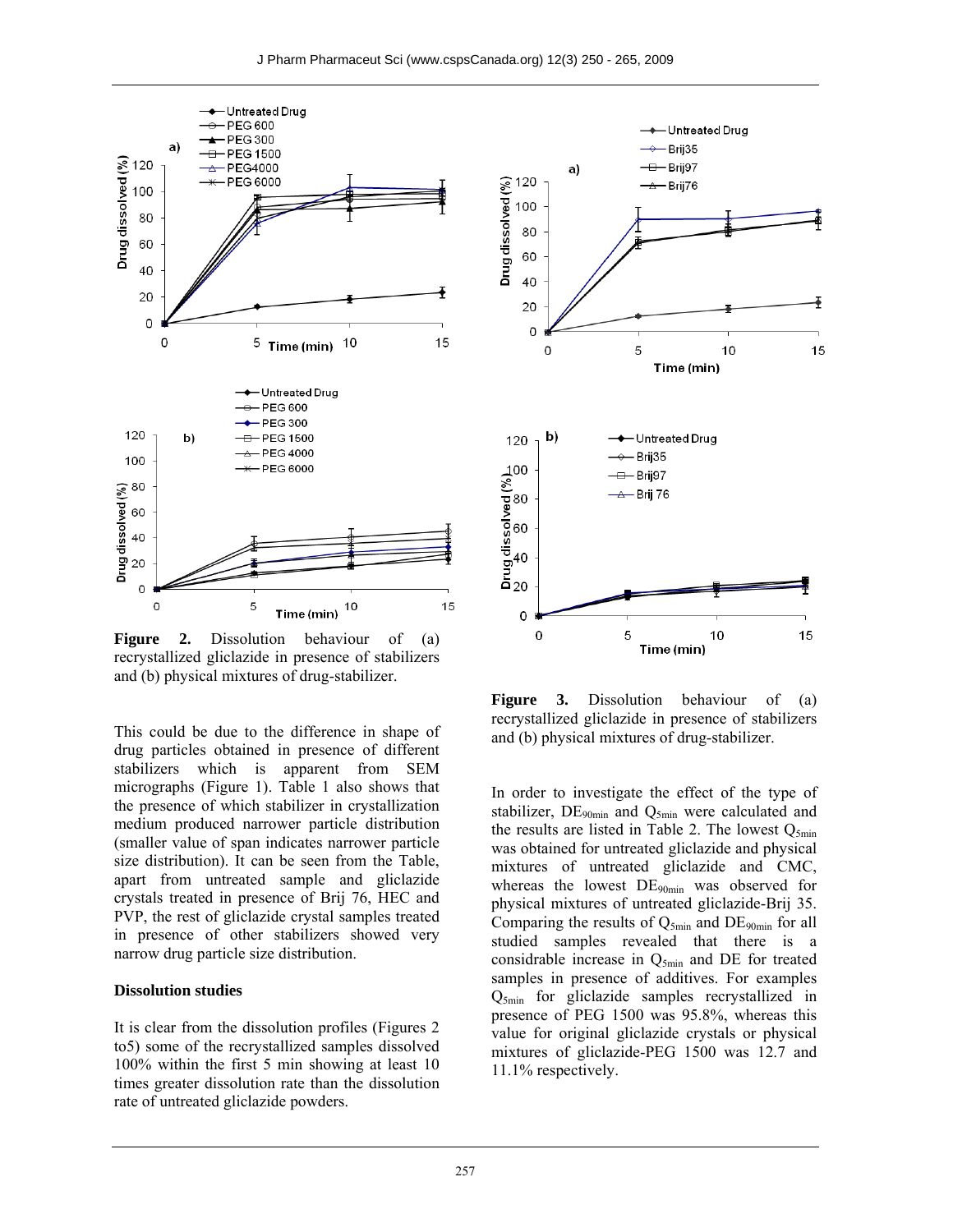

**Figure 2.** Dissolution behaviour of (a) recrystallized gliclazide in presence of stabilizers and (b) physical mixtures of drug-stabilizer.

This could be due to the difference in shape of drug particles obtained in presence of different stabilizers which is apparent from SEM micrographs (Figure 1). Table 1 also shows that the presence of which stabilizer in crystallization medium produced narrower particle distribution (smaller value of span indicates narrower particle size distribution). It can be seen from the Table, apart from untreated sample and gliclazide crystals treated in presence of Brij 76, HEC and PVP, the rest of gliclazide crystal samples treated in presence of other stabilizers showed very narrow drug particle size distribution.

#### **Dissolution studies**

It is clear from the dissolution profiles (Figures 2 to5) some of the recrystallized samples dissolved 100% within the first 5 min showing at least 10 times greater dissolution rate than the dissolution rate of untreated gliclazide powders.



**Figure 3.** Dissolution behaviour of (a) recrystallized gliclazide in presence of stabilizers and (b) physical mixtures of drug-stabilizer.

In order to investigate the effect of the type of stabilizer,  $DE_{90min}$  and  $Q_{5min}$  were calculated and the results are listed in Table 2. The lowest  $Q_{5min}$ was obtained for untreated gliclazide and physical mixtures of untreated gliclazide and CMC, whereas the lowest DE<sub>90min</sub> was observed for physical mixtures of untreated gliclazide-Brij 35. Comparing the results of  $Q_{5min}$  and  $DE_{90min}$  for all studied samples revealed that there is a considrable increase in  $Q_{5min}$  and DE for treated samples in presence of additives. For examples  $Q<sub>5min</sub>$  for gliclazide samples recrystallized in presence of PEG 1500 was 95.8%, whereas this value for original gliclazide crystals or physical mixtures of gliclazide-PEG 1500 was 12.7 and 11.1% respectively.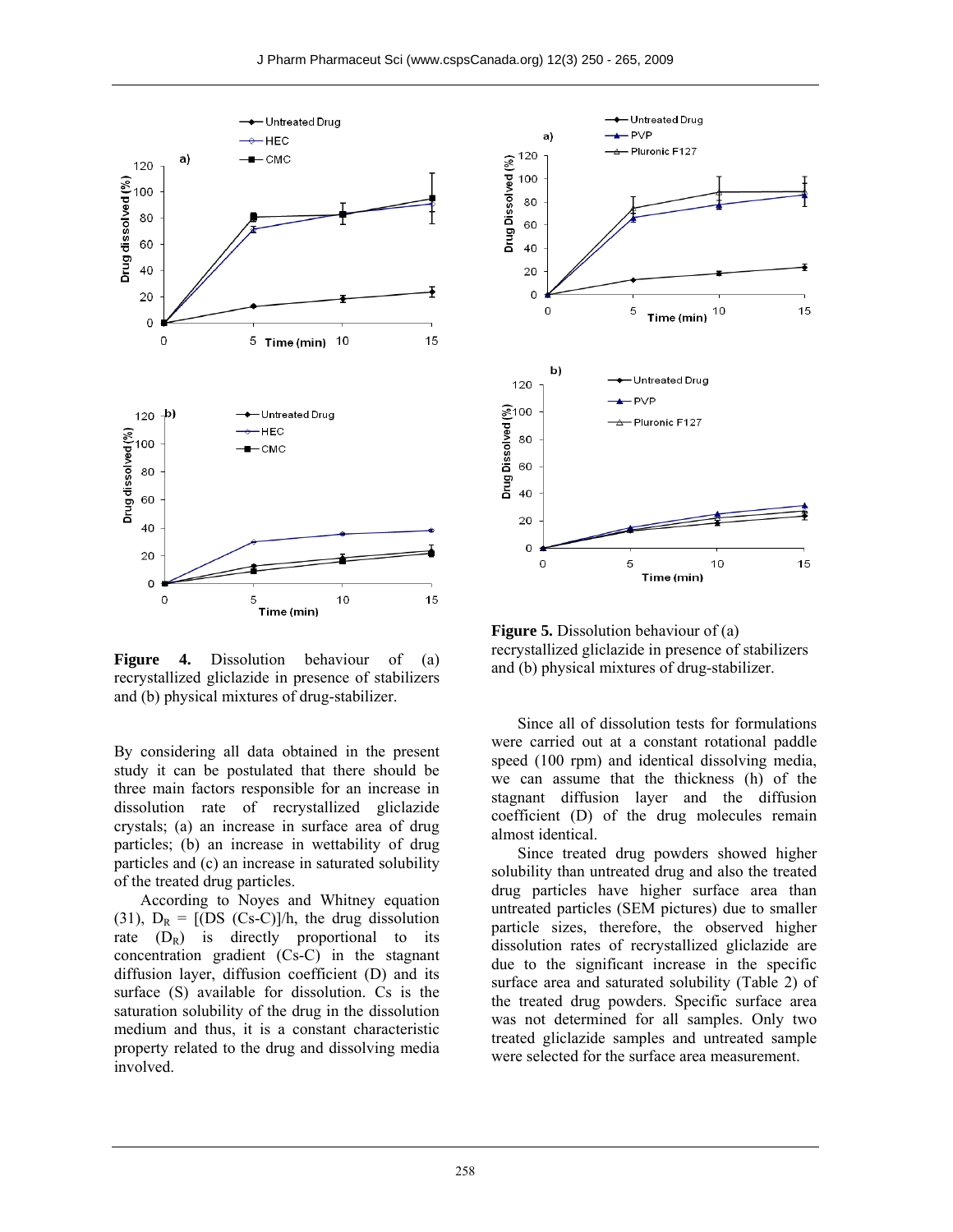

**Figure 4.** Dissolution behaviour of (a) recrystallized gliclazide in presence of stabilizers and (b) physical mixtures of drug-stabilizer.

By considering all data obtained in the present study it can be postulated that there should be three main factors responsible for an increase in dissolution rate of recrystallized gliclazide crystals; (a) an increase in surface area of drug particles; (b) an increase in wettability of drug particles and (c) an increase in saturated solubility of the treated drug particles.

According to Noyes and Whitney equation (31),  $D_R = [(DS (Cs-C)]/h$ , the drug dissolution rate  $(D_R)$  is directly proportional to its concentration gradient (Cs-C) in the stagnant diffusion layer, diffusion coefficient (D) and its surface (S) available for dissolution. Cs is the saturation solubility of the drug in the dissolution medium and thus, it is a constant characteristic property related to the drug and dissolving media involved.



**Figure 5.** Dissolution behaviour of (a) recrystallized gliclazide in presence of stabilizers and (b) physical mixtures of drug-stabilizer.

Since all of dissolution tests for formulations were carried out at a constant rotational paddle speed (100 rpm) and identical dissolving media, we can assume that the thickness (h) of the stagnant diffusion layer and the diffusion coefficient (D) of the drug molecules remain almost identical.

Since treated drug powders showed higher solubility than untreated drug and also the treated drug particles have higher surface area than untreated particles (SEM pictures) due to smaller particle sizes, therefore, the observed higher dissolution rates of recrystallized gliclazide are due to the significant increase in the specific surface area and saturated solubility (Table 2) of the treated drug powders. Specific surface area was not determined for all samples. Only two treated gliclazide samples and untreated sample were selected for the surface area measurement.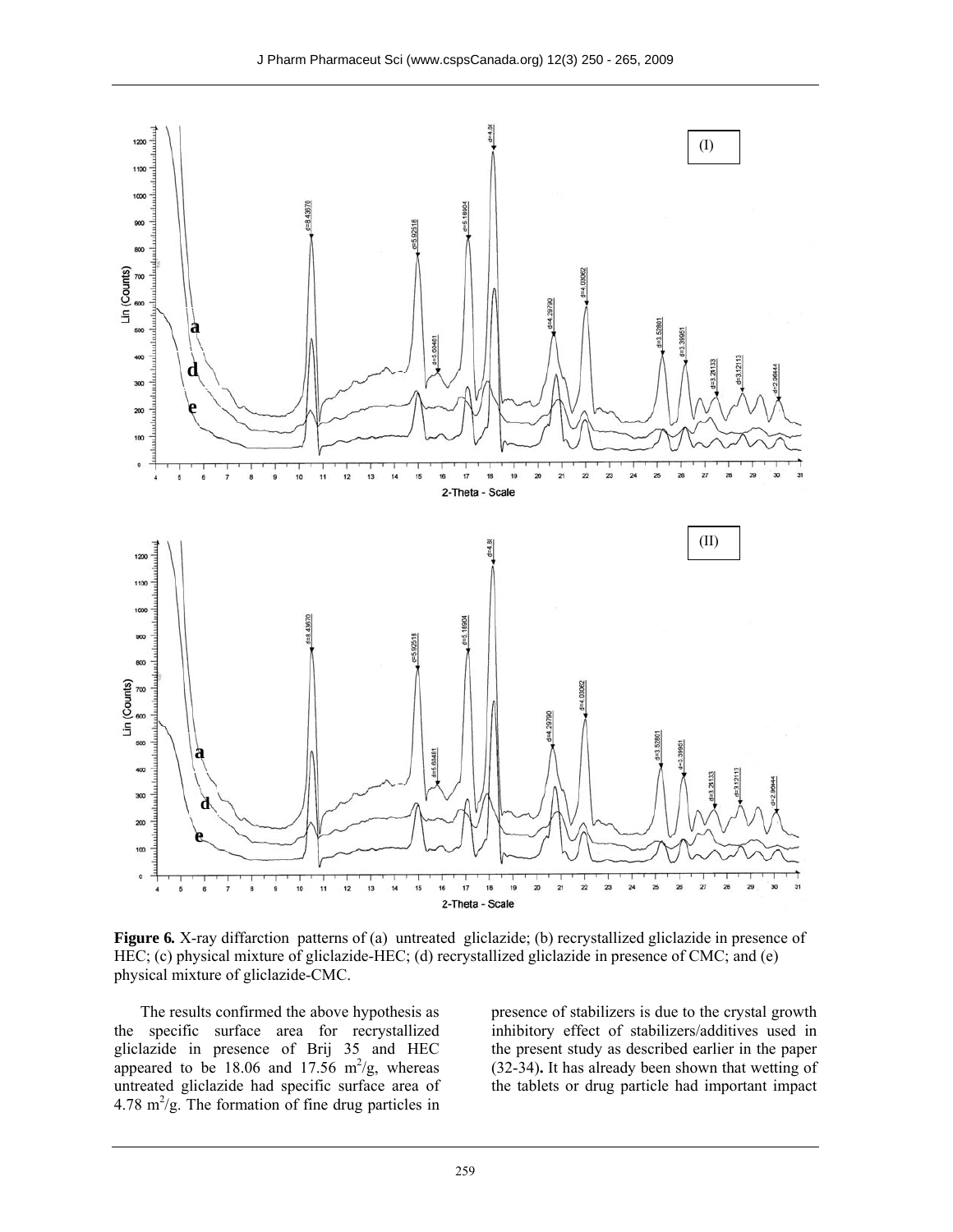

**Figure 6***.* X-ray diffarction patterns of (a) untreated gliclazide; (b) recrystallized gliclazide in presence of HEC; (c) physical mixture of gliclazide-HEC; (d) recrystallized gliclazide in presence of CMC; and (e) physical mixture of gliclazide-CMC.

The results confirmed the above hypothesis as the specific surface area for recrystallized gliclazide in presence of Brij 35 and HEC appeared to be  $18.06$  and  $17.56$  m<sup>2</sup>/g, whereas untreated gliclazide had specific surface area of  $4.78 \text{ m}^2/\text{g}$ . The formation of fine drug particles in presence of stabilizers is due to the crystal growth inhibitory effect of stabilizers/additives used in the present study as described earlier in the paper (32-34)**.** It has already been shown that wetting of the tablets or drug particle had important impact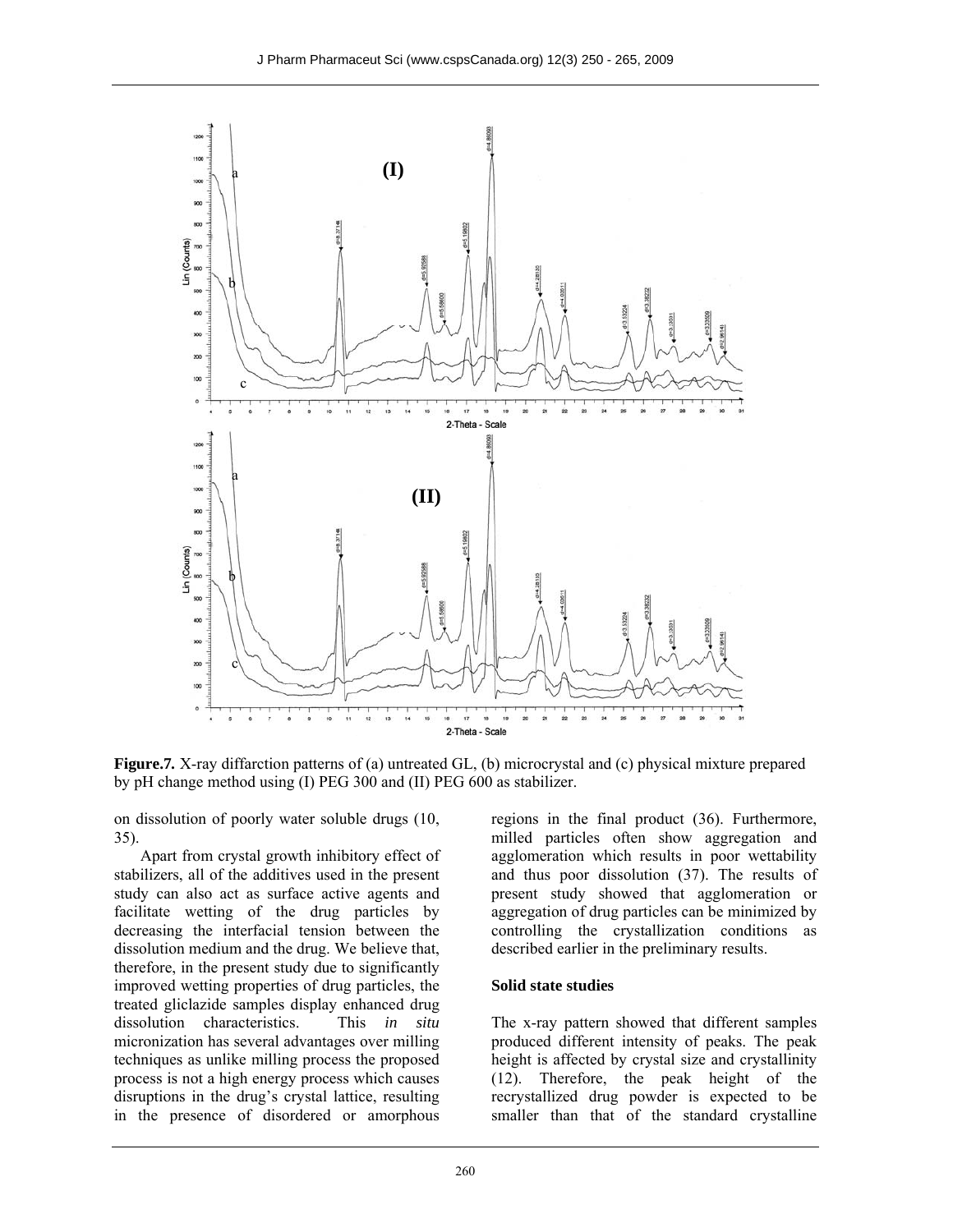

**Figure.7***.* X-ray diffarction patterns of (a) untreated GL, (b) microcrystal and (c) physical mixture prepared by pH change method using (I) PEG 300 and (II) PEG 600 as stabilizer.

on dissolution of poorly water soluble drugs (10, 35).

Apart from crystal growth inhibitory effect of stabilizers, all of the additives used in the present study can also act as surface active agents and facilitate wetting of the drug particles by decreasing the interfacial tension between the dissolution medium and the drug. We believe that, therefore, in the present study due to significantly improved wetting properties of drug particles, the treated gliclazide samples display enhanced drug dissolution characteristics. This *in situ* micronization has several advantages over milling techniques as unlike milling process the proposed process is not a high energy process which causes disruptions in the drug's crystal lattice, resulting in the presence of disordered or amorphous

regions in the final product (36). Furthermore, milled particles often show aggregation and agglomeration which results in poor wettability and thus poor dissolution (37). The results of present study showed that agglomeration or aggregation of drug particles can be minimized by controlling the crystallization conditions as described earlier in the preliminary results.

#### **Solid state studies**

The x-ray pattern showed that different samples produced different intensity of peaks. The peak height is affected by crystal size and crystallinity (12). Therefore, the peak height of the recrystallized drug powder is expected to be smaller than that of the standard crystalline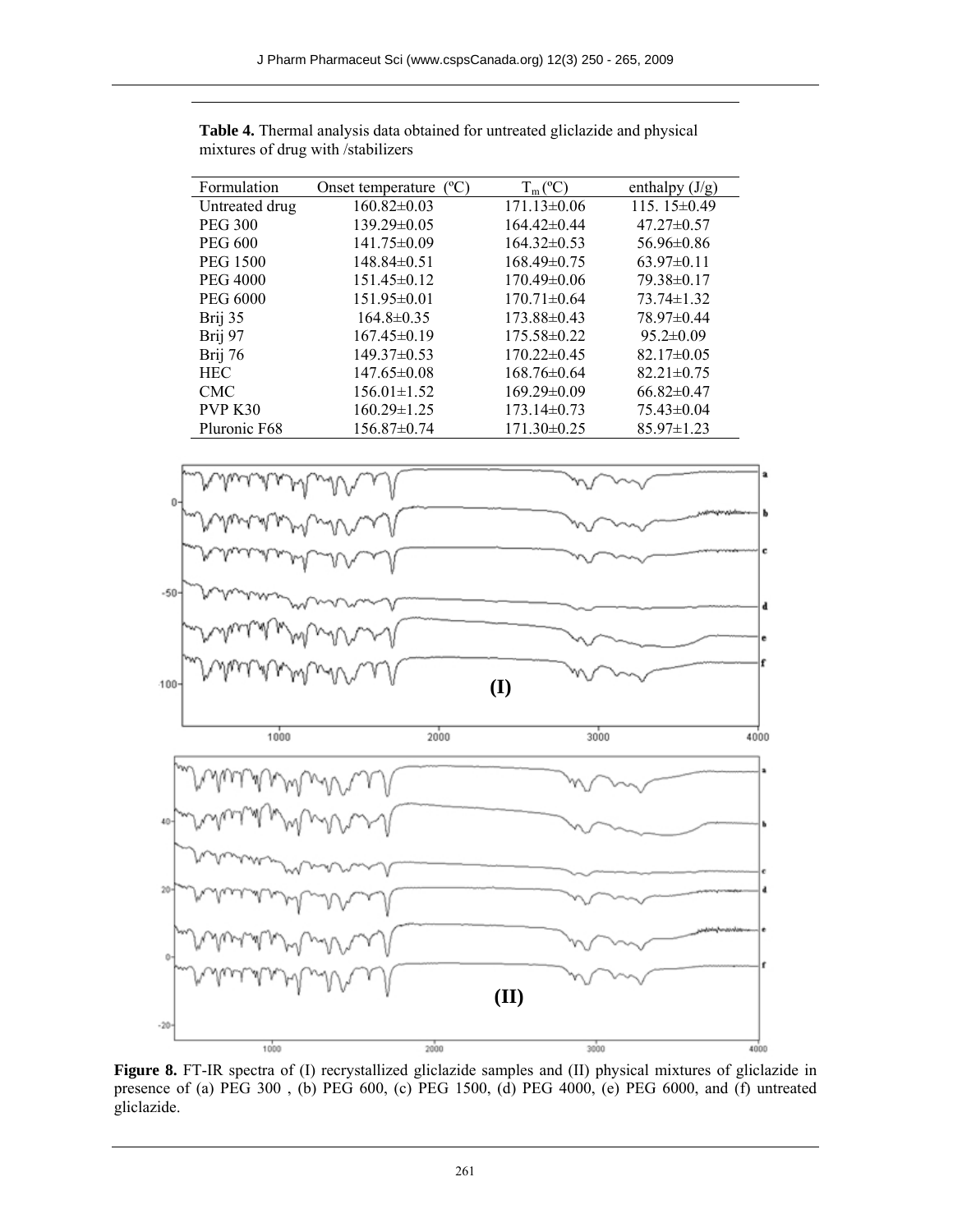| Formulation     | Onset temperature $(^{\circ}C)$ | $T_m$ <sup>(<math>^{\circ}</math>C)</sup> | enthalpy $(J/g)$  |
|-----------------|---------------------------------|-------------------------------------------|-------------------|
| Untreated drug  | $160.82 \pm 0.03$               | $171.13 \pm 0.06$                         | 115.15 $\pm$ 0.49 |
| <b>PEG 300</b>  | $139.29\pm0.05$                 | $164.42\pm0.44$                           | $47.27\pm0.57$    |
| <b>PEG 600</b>  | $141.75 \pm 0.09$               | $164.32\pm0.53$                           | $56.96 \pm 0.86$  |
| <b>PEG 1500</b> | $148.84\pm0.51$                 | $168.49\pm0.75$                           | $63.97\pm0.11$    |
| <b>PEG 4000</b> | $151.45 \pm 0.12$               | $170.49 \pm 0.06$                         | $79.38 \pm 0.17$  |
| PEG 6000        | $151.95 \pm 0.01$               | $170.71 \pm 0.64$                         | $73.74 \pm 1.32$  |
| Brij 35         | $164.8 \pm 0.35$                | $173.88\pm0.43$                           | 78.97±0.44        |
| Brij 97         | $167.45 \pm 0.19$               | $175.58\pm0.22$                           | $95.2 \pm 0.09$   |
| Brij 76         | $149.37\pm0.53$                 | $170.22 \pm 0.45$                         | $82.17 \pm 0.05$  |
| <b>HEC</b>      | $147.65 \pm 0.08$               | $168.76 \pm 0.64$                         | $82.21 \pm 0.75$  |
| <b>CMC</b>      | $156.01 \pm 1.52$               | $169.29 \pm 0.09$                         | $66.82 \pm 0.47$  |
| PVP K30         | $160.29 \pm 1.25$               | $173.14\pm0.73$                           | $75.43 \pm 0.04$  |
| Pluronic F68    | $156.87 \pm 0.74$               | $171.30 \pm 0.25$                         | $85.97 \pm 1.23$  |

**Table 4.** Thermal analysis data obtained for untreated gliclazide and physical mixtures of drug with /stabilizers



**Figure 8.** FT-IR spectra of (I) recrystallized gliclazide samples and (II) physical mixtures of gliclazide in presence of (a) PEG 300 , (b) PEG 600, (c) PEG 1500, (d) PEG 4000, (e) PEG 6000, and (f) untreated gliclazide.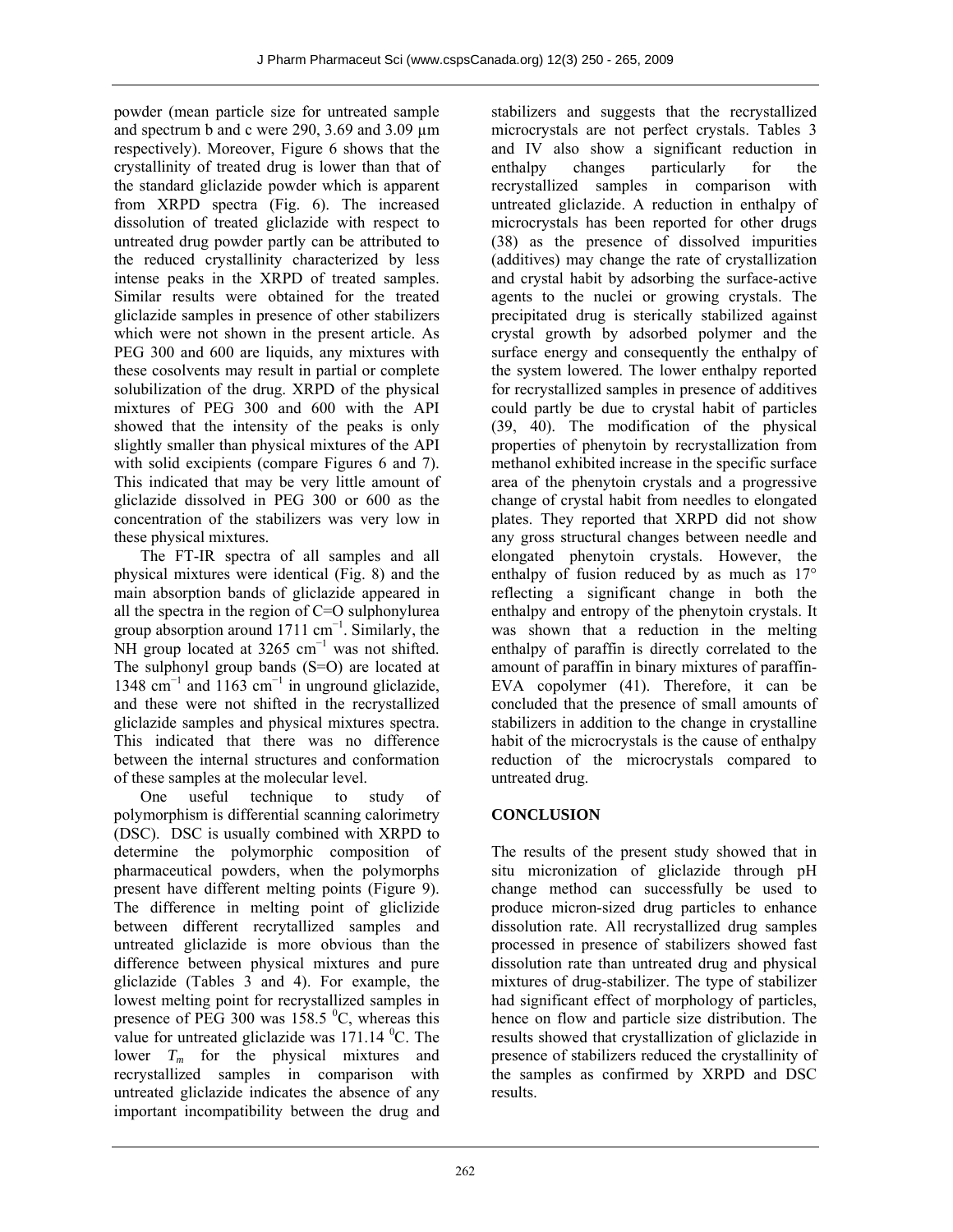powder (mean particle size for untreated sample and spectrum b and c were 290, 3.69 and 3.09  $\mu$ m respectively). Moreover, Figure 6 shows that the crystallinity of treated drug is lower than that of the standard gliclazide powder which is apparent from XRPD spectra (Fig. 6). The increased dissolution of treated gliclazide with respect to untreated drug powder partly can be attributed to the reduced crystallinity characterized by less intense peaks in the XRPD of treated samples. Similar results were obtained for the treated gliclazide samples in presence of other stabilizers which were not shown in the present article. As PEG 300 and 600 are liquids, any mixtures with these cosolvents may result in partial or complete solubilization of the drug. XRPD of the physical mixtures of PEG 300 and 600 with the API showed that the intensity of the peaks is only slightly smaller than physical mixtures of the API with solid excipients (compare Figures 6 and 7). This indicated that may be very little amount of gliclazide dissolved in PEG 300 or 600 as the concentration of the stabilizers was very low in these physical mixtures.

The FT-IR spectra of all samples and all physical mixtures were identical (Fig. 8) and the main absorption bands of gliclazide appeared in all the spectra in the region of C=O sulphonylurea group absorption around  $1711 \text{ cm}^{-1}$ . Similarly, the NH group located at 3265 cm<sup>-1</sup> was not shifted. The sulphonyl group bands (S=O) are located at 1348 cm<sup>−</sup><sup>1</sup> and 1163 cm<sup>−</sup><sup>1</sup> in unground gliclazide, and these were not shifted in the recrystallized gliclazide samples and physical mixtures spectra. This indicated that there was no difference between the internal structures and conformation of these samples at the molecular level.

One useful technique to study of polymorphism is differential scanning calorimetry (DSC). DSC is usually combined with XRPD to determine the polymorphic composition of pharmaceutical powders, when the polymorphs present have different melting points (Figure 9). The difference in melting point of gliclizide between different recrytallized samples and untreated gliclazide is more obvious than the difference between physical mixtures and pure gliclazide (Tables 3 and 4). For example, the lowest melting point for recrystallized samples in presence of PEG 300 was  $158.5\text{ °C}$ , whereas this value for untreated gliclazide was  $171.14 \text{ °C}$ . The lower  $T_m$  for the physical mixtures and recrystallized samples in comparison with untreated gliclazide indicates the absence of any important incompatibility between the drug and stabilizers and suggests that the recrystallized microcrystals are not perfect crystals. Tables 3 and IV also show a significant reduction in enthalpy changes particularly for the recrystallized samples in comparison with untreated gliclazide. A reduction in enthalpy of microcrystals has been reported for other drugs (38) as the presence of dissolved impurities (additives) may change the rate of crystallization and crystal habit by adsorbing the surface-active agents to the nuclei or growing crystals. The precipitated drug is sterically stabilized against crystal growth by adsorbed polymer and the surface energy and consequently the enthalpy of the system lowered. The lower enthalpy reported for recrystallized samples in presence of additives could partly be due to crystal habit of particles (39, 40). The modification of the physical properties of phenytoin by recrystallization from methanol exhibited increase in the specific surface area of the phenytoin crystals and a progressive change of crystal habit from needles to elongated plates. They reported that XRPD did not show any gross structural changes between needle and elongated phenytoin crystals. However, the enthalpy of fusion reduced by as much as 17° reflecting a significant change in both the enthalpy and entropy of the phenytoin crystals. It was shown that a reduction in the melting enthalpy of paraffin is directly correlated to the amount of paraffin in binary mixtures of paraffin-EVA copolymer (41). Therefore, it can be concluded that the presence of small amounts of stabilizers in addition to the change in crystalline habit of the microcrystals is the cause of enthalpy reduction of the microcrystals compared to untreated drug.

# **CONCLUSION**

The results of the present study showed that in situ micronization of gliclazide through pH change method can successfully be used to produce micron-sized drug particles to enhance dissolution rate. All recrystallized drug samples processed in presence of stabilizers showed fast dissolution rate than untreated drug and physical mixtures of drug-stabilizer. The type of stabilizer had significant effect of morphology of particles, hence on flow and particle size distribution. The results showed that crystallization of gliclazide in presence of stabilizers reduced the crystallinity of the samples as confirmed by XRPD and DSC results.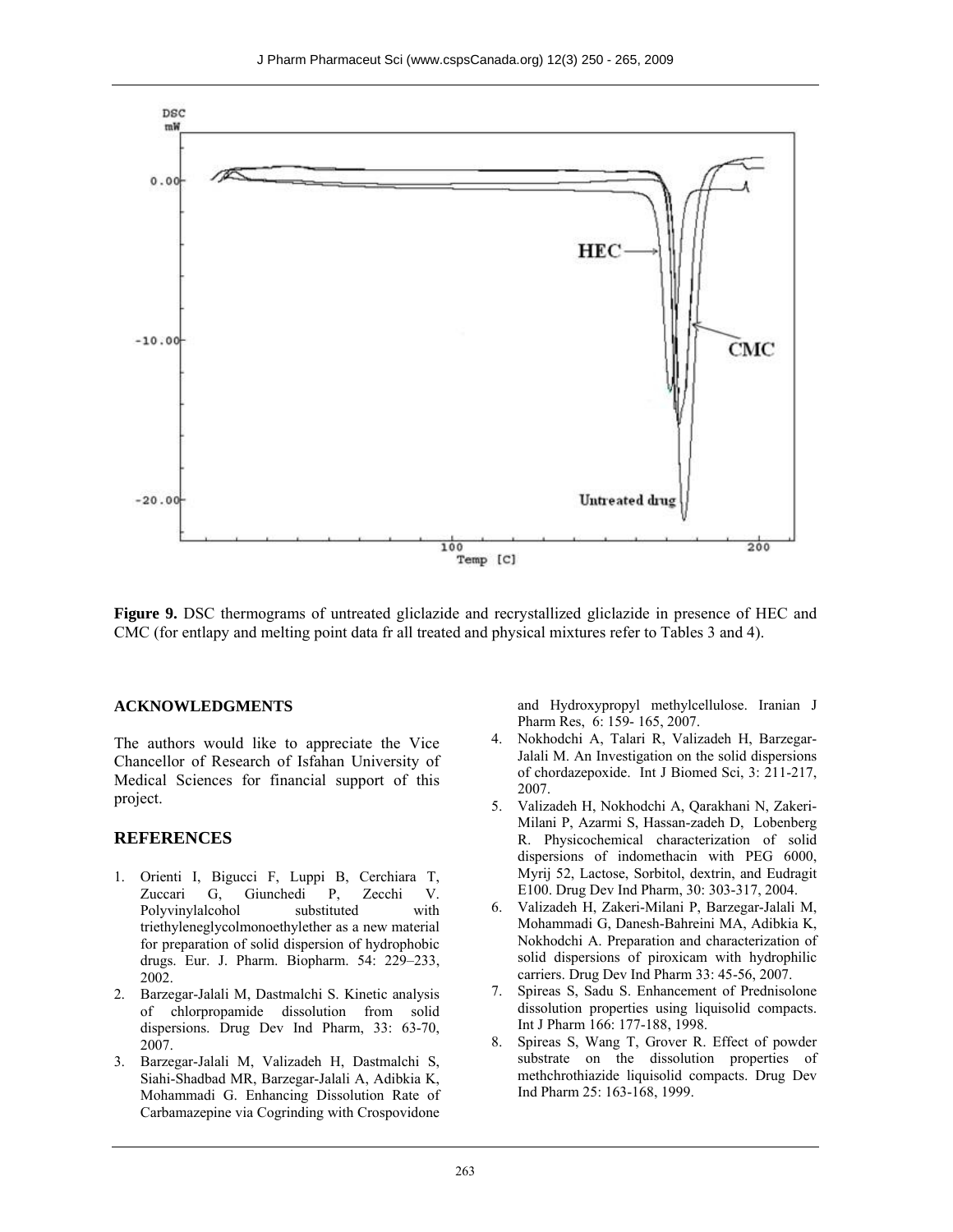

**Figure 9.** DSC thermograms of untreated gliclazide and recrystallized gliclazide in presence of HEC and CMC (for entlapy and melting point data fr all treated and physical mixtures refer to Tables 3 and 4).

#### **ACKNOWLEDGMENTS**

The authors would like to appreciate the Vice Chancellor of Research of Isfahan University of Medical Sciences for financial support of this project.

#### **REFERENCES**

- 1. Orienti I, Bigucci F, Luppi B, Cerchiara T, Zuccari G, Giunchedi P, Zecchi V. Polyvinylalcohol substituted with triethyleneglycolmonoethylether as a new material for preparation of solid dispersion of hydrophobic drugs. Eur. J. Pharm. Biopharm. 54: 229–233, 2002.
- 2. Barzegar-Jalali M, Dastmalchi S. Kinetic analysis of chlorpropamide dissolution from solid dispersions. Drug Dev Ind Pharm, 33: 63-70, 2007.
- 3. Barzegar-Jalali M, Valizadeh H, Dastmalchi S, Siahi-Shadbad MR, Barzegar-Jalali A, Adibkia K, Mohammadi G. Enhancing Dissolution Rate of Carbamazepine via Cogrinding with Crospovidone

and Hydroxypropyl methylcellulose. Iranian J Pharm Res, 6: 159- 165, 2007.

- 4. Nokhodchi A, Talari R, Valizadeh H, Barzegar-Jalali M. An Investigation on the solid dispersions of chordazepoxide. Int J Biomed Sci, 3: 211-217, 2007.
- 5. Valizadeh H, Nokhodchi A, Qarakhani N, Zakeri-Milani P, Azarmi S, Hassan-zadeh D, Lobenberg R. Physicochemical characterization of solid dispersions of indomethacin with PEG 6000, Myrij 52, Lactose, Sorbitol, dextrin, and Eudragit E100. Drug Dev Ind Pharm, 30: 303-317, 2004.
- 6. Valizadeh H, Zakeri-Milani P, Barzegar-Jalali M, Mohammadi G, Danesh-Bahreini MA, Adibkia K, Nokhodchi A. Preparation and characterization of solid dispersions of piroxicam with hydrophilic carriers. Drug Dev Ind Pharm 33: 45-56, 2007.
- 7. Spireas S, Sadu S. Enhancement of Prednisolone dissolution properties using liquisolid compacts. Int J Pharm 166: 177-188, 1998.
- 8. Spireas S, Wang T, Grover R. Effect of powder substrate on the dissolution properties of methchrothiazide liquisolid compacts. Drug Dev Ind Pharm 25: 163-168, 1999.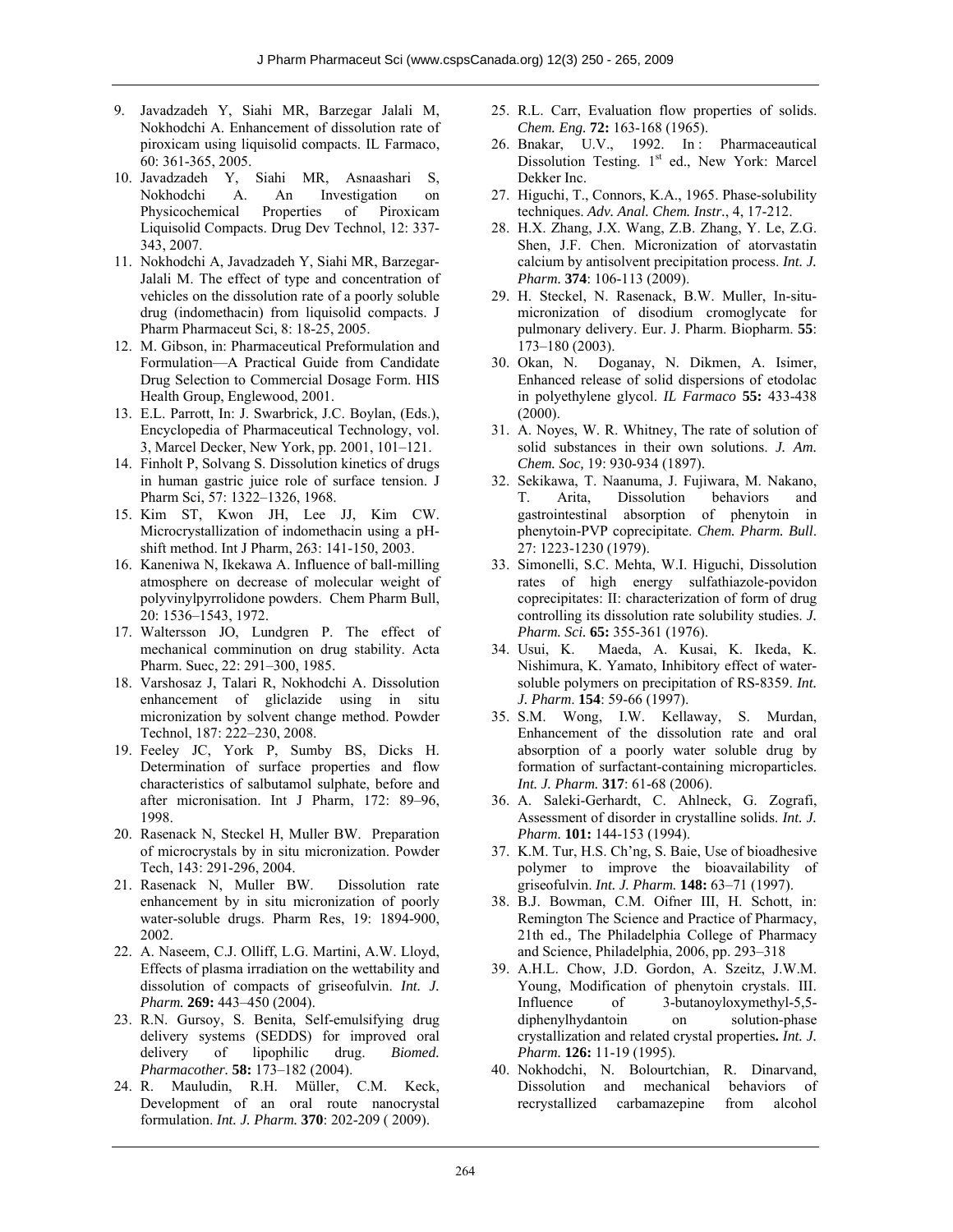- 9. Javadzadeh Y, Siahi MR, Barzegar Jalali M, Nokhodchi A. Enhancement of dissolution rate of piroxicam using liquisolid compacts. IL Farmaco, 60: 361-365, 2005.
- 10. Javadzadeh Y, Siahi MR, Asnaashari S, Nokhodchi A. An Investigation on Physicochemical Properties of Piroxicam Liquisolid Compacts. Drug Dev Technol, 12: 337- 343, 2007.
- 11. Nokhodchi A, Javadzadeh Y, Siahi MR, Barzegar-Jalali M. The effect of type and concentration of vehicles on the dissolution rate of a poorly soluble drug (indomethacin) from liquisolid compacts. J Pharm Pharmaceut Sci, 8: 18-25, 2005.
- 12. M. Gibson, in: Pharmaceutical Preformulation and Formulation—A Practical Guide from Candidate Drug Selection to Commercial Dosage Form. HIS Health Group, Englewood, 2001.
- 13. E.L. Parrott, In: J. Swarbrick, J.C. Boylan, (Eds.), Encyclopedia of Pharmaceutical Technology, vol. 3, Marcel Decker, New York, pp. 2001, 101–121.
- 14. Finholt P, Solvang S. Dissolution kinetics of drugs in human gastric juice role of surface tension. J Pharm Sci, 57: 1322–1326, 1968.
- 15. Kim ST, Kwon JH, Lee JJ, Kim CW. Microcrystallization of indomethacin using a pHshift method. Int J Pharm, 263: 141-150, 2003.
- 16. Kaneniwa N, Ikekawa A. Influence of ball-milling atmosphere on decrease of molecular weight of polyvinylpyrrolidone powders. Chem Pharm Bull, 20: 1536–1543, 1972.
- 17. Waltersson JO, Lundgren P. The effect of mechanical comminution on drug stability. Acta Pharm. Suec, 22: 291–300, 1985.
- 18. Varshosaz J, Talari R, Nokhodchi A. Dissolution enhancement of gliclazide using in situ micronization by solvent change method. Powder Technol, 187: 222–230, 2008.
- 19. Feeley JC, York P, Sumby BS, Dicks H. Determination of surface properties and flow characteristics of salbutamol sulphate, before and after micronisation. Int J Pharm, 172: 89–96, 1998.
- 20. Rasenack N, Steckel H, Muller BW. Preparation of microcrystals by in situ micronization. Powder Tech, 143: 291-296, 2004.
- 21. Rasenack N, Muller BW. Dissolution rate enhancement by in situ micronization of poorly water-soluble drugs. Pharm Res, 19: 1894-900, 2002.
- 22. A. Naseem, C.J. Olliff, L.G. Martini, A.W. Lloyd, Effects of plasma irradiation on the wettability and dissolution of compacts of griseofulvin. *Int. J. Pharm.* **269:** 443–450 (2004).
- 23. R.N. Gursoy, S. Benita, Self-emulsifying drug delivery systems (SEDDS) for improved oral delivery of lipophilic drug. *Biomed. Pharmacother.* **58:** 173–182 (2004).
- 24. R. Mauludin, R.H. Müller, C.M. Keck, Development of an oral route nanocrystal formulation. *Int. J. Pharm.* **370**: 202-209 ( 2009).
- 25. R.L. Carr, Evaluation flow properties of solids. *Chem. Eng.* **72:** 163-168 (1965).
- 26. Bnakar, U.V., 1992. In : Pharmaceautical Dissolution Testing. 1<sup>st</sup> ed., New York: Marcel Dekker Inc.
- 27. Higuchi, T., Connors, K.A., 1965. Phase-solubility techniques. *Adv. Anal. Chem. Instr.*, 4, 17-212.
- 28. H.X. Zhang, J.X. Wang, Z.B. Zhang, Y. Le, Z.G. Shen, J.F. Chen. Micronization of atorvastatin calcium by antisolvent precipitation process. *Int. J. Pharm.* **374**: 106-113 (2009).
- 29. H. Steckel, N. Rasenack, B.W. Muller, In-situmicronization of disodium cromoglycate for pulmonary delivery. Eur. J. Pharm. Biopharm. **55**: 173–180 (2003).
- 30. Okan, N. Doganay, N. Dikmen, A. Isimer, Enhanced release of solid dispersions of etodolac in polyethylene glycol. *IL Farmaco* **55:** 433-438 (2000).
- 31. A. Noyes, W. R. Whitney, The rate of solution of solid substances in their own solutions. *J. Am. Chem. Soc,* 19: 930-934 (1897).
- 32. Sekikawa, T. Naanuma, J. Fujiwara, M. Nakano, T. Arita, Dissolution behaviors and gastrointestinal absorption of phenytoin in phenytoin-PVP coprecipitate. *Chem. Pharm. Bull*. 27: 1223-1230 (1979).
- 33. Simonelli, S.C. Mehta, W.I. Higuchi, Dissolution rates of high energy sulfathiazole-povidon coprecipitates: II: characterization of form of drug controlling its dissolution rate solubility studies. *J. Pharm. Sci.* **65:** 355-361 (1976).
- 34. Usui, K. Maeda, A. Kusai, K. Ikeda, K. Nishimura, K. Yamato, Inhibitory effect of watersoluble polymers on precipitation of RS-8359. *Int. J. Pharm*. **154**: 59-66 (1997).
- 35. S.M. Wong, I.W. Kellaway, S. Murdan, Enhancement of the dissolution rate and oral absorption of a poorly water soluble drug by formation of surfactant-containing microparticles. *Int. J. Pharm.* **317**: 61-68 (2006).
- 36. A. Saleki-Gerhardt, C. Ahlneck, G. Zografi, Assessment of disorder in crystalline solids. *Int. J. Pharm.* **101:** 144-153 (1994).
- 37. K.M. Tur, H.S. Ch'ng, S. Baie, Use of bioadhesive polymer to improve the bioavailability of griseofulvin. *Int. J. Pharm.* **148:** 63–71 (1997).
- 38. B.J. Bowman, C.M. Oifner III, H. Schott, in: Remington The Science and Practice of Pharmacy, 21th ed., The Philadelphia College of Pharmacy and Science, Philadelphia, 2006, pp. 293–318
- 39. A.H.L. Chow, J.D. Gordon, A. Szeitz, J.W.M. Young, Modification of phenytoin crystals. III. Influence of 3-butanoyloxymethyl-5,5 diphenylhydantoin on solution-phase crystallization and related crystal properties**.** *Int. J. Pharm.* **126:** 11-19 (1995).
- 40. Nokhodchi, N. Bolourtchian, R. Dinarvand, Dissolution and mechanical behaviors of recrystallized carbamazepine from alcohol